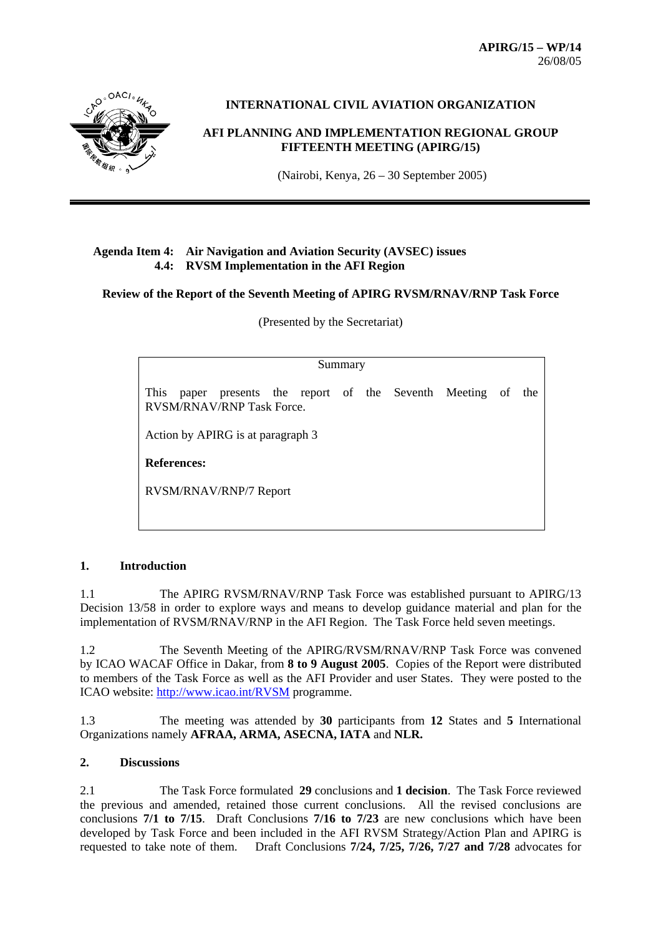**APIRG/15 – WP/14**  26/08/05



# **INTERNATIONAL CIVIL AVIATION ORGANIZATION**

# **AFI PLANNING AND IMPLEMENTATION REGIONAL GROUP FIFTEENTH MEETING (APIRG/15)**

(Nairobi, Kenya, 26 – 30 September 2005)

## **Agenda Item 4: Air Navigation and Aviation Security (AVSEC) issues 4.4: RVSM Implementation in the AFI Region**

**Review of the Report of the Seventh Meeting of APIRG RVSM/RNAV/RNP Task Force** 

(Presented by the Secretariat)

| Summary |
|---------|
|---------|

This paper presents the report of the Seventh Meeting of the RVSM/RNAV/RNP Task Force.

Action by APIRG is at paragraph 3

**References:**

RVSM/RNAV/RNP/7 Report

# **1. Introduction**

1.1 The APIRG RVSM/RNAV/RNP Task Force was established pursuant to APIRG/13 Decision 13/58 in order to explore ways and means to develop guidance material and plan for the implementation of RVSM/RNAV/RNP in the AFI Region. The Task Force held seven meetings.

1.2 The Seventh Meeting of the APIRG/RVSM/RNAV/RNP Task Force was convened by ICAO WACAF Office in Dakar, from **8 to 9 August 2005**. Copies of the Report were distributed to members of the Task Force as well as the AFI Provider and user States. They were posted to the ICAO website: http://www.icao.int/RVSM programme.

1.3 The meeting was attended by **30** participants from **12** States and **5** International Organizations namely **AFRAA, ARMA, ASECNA, IATA** and **NLR.**

## **2. Discussions**

2.1 The Task Force formulated **29** conclusions and **1 decision**. The Task Force reviewed the previous and amended, retained those current conclusions. All the revised conclusions are conclusions **7/1 to 7/15**. Draft Conclusions **7/16 to 7/23** are new conclusions which have been developed by Task Force and been included in the AFI RVSM Strategy/Action Plan and APIRG is requested to take note of them. Draft Conclusions **7/24, 7/25, 7/26, 7/27 and 7/28** advocates for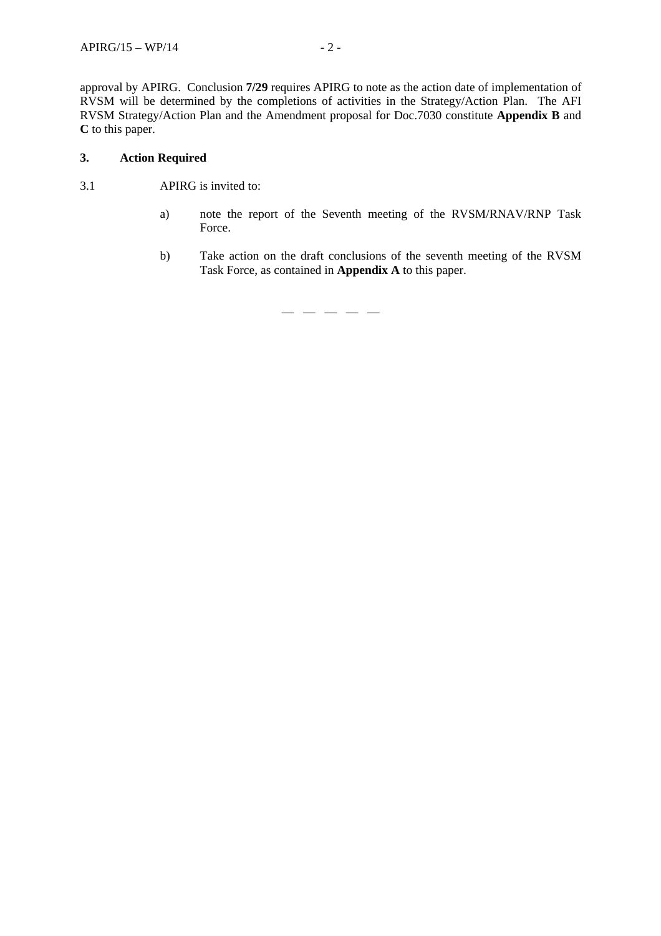approval by APIRG. Conclusion **7/29** requires APIRG to note as the action date of implementation of RVSM will be determined by the completions of activities in the Strategy/Action Plan. The AFI RVSM Strategy/Action Plan and the Amendment proposal for Doc.7030 constitute **Appendix B** and **C** to this paper.

# **3. Action Required**

- 3.1 APIRG is invited to:
	- a) note the report of the Seventh meeting of the RVSM/RNAV/RNP Task Force.
	- b) Take action on the draft conclusions of the seventh meeting of the RVSM Task Force, as contained in **Appendix A** to this paper.

— — — — —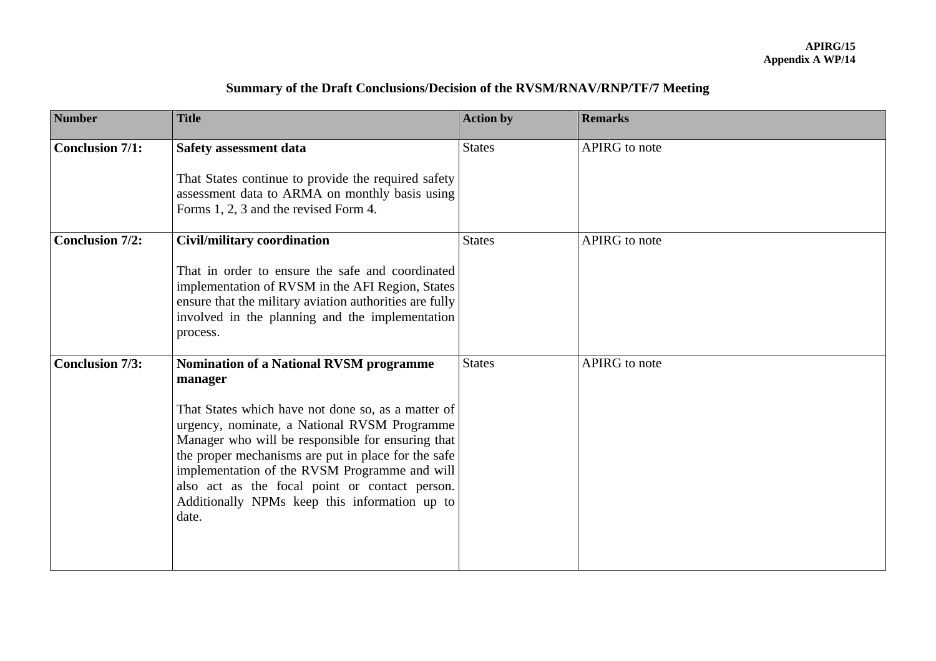| Summary of the Draft Conclusions/Decision of the RVSM/RNAV/RNP/TF/7 Meeting |  |  |
|-----------------------------------------------------------------------------|--|--|
|                                                                             |  |  |

| <b>Number</b>          | <b>Title</b>                                                                                                                                                                                                                                                                                                                                                                                                                             | <b>Action by</b> | <b>Remarks</b> |
|------------------------|------------------------------------------------------------------------------------------------------------------------------------------------------------------------------------------------------------------------------------------------------------------------------------------------------------------------------------------------------------------------------------------------------------------------------------------|------------------|----------------|
| <b>Conclusion 7/1:</b> | <b>Safety assessment data</b><br>That States continue to provide the required safety<br>assessment data to ARMA on monthly basis using<br>Forms 1, 2, 3 and the revised Form 4.                                                                                                                                                                                                                                                          | <b>States</b>    | APIRG to note  |
| <b>Conclusion 7/2:</b> | <b>Civil/military coordination</b><br>That in order to ensure the safe and coordinated<br>implementation of RVSM in the AFI Region, States<br>ensure that the military aviation authorities are fully<br>involved in the planning and the implementation<br>process.                                                                                                                                                                     | <b>States</b>    | APIRG to note  |
| <b>Conclusion 7/3:</b> | <b>Nomination of a National RVSM programme</b><br>manager<br>That States which have not done so, as a matter of<br>urgency, nominate, a National RVSM Programme<br>Manager who will be responsible for ensuring that<br>the proper mechanisms are put in place for the safe<br>implementation of the RVSM Programme and will<br>also act as the focal point or contact person.<br>Additionally NPMs keep this information up to<br>date. | <b>States</b>    | APIRG to note  |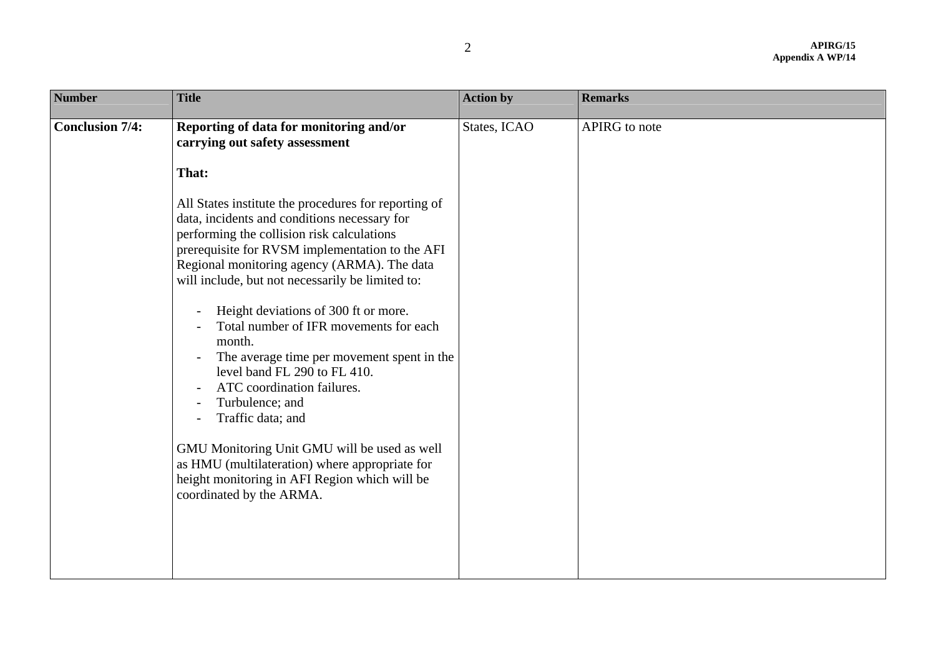| <b>Number</b>          | <b>Title</b>                                                                                                                                                                                                                                                                                                                                                                                                                                                                                                                                                                                                                                                                                                                                                                                                                                                                          | <b>Action by</b> | <b>Remarks</b>       |
|------------------------|---------------------------------------------------------------------------------------------------------------------------------------------------------------------------------------------------------------------------------------------------------------------------------------------------------------------------------------------------------------------------------------------------------------------------------------------------------------------------------------------------------------------------------------------------------------------------------------------------------------------------------------------------------------------------------------------------------------------------------------------------------------------------------------------------------------------------------------------------------------------------------------|------------------|----------------------|
| <b>Conclusion 7/4:</b> | Reporting of data for monitoring and/or<br>carrying out safety assessment<br>That:<br>All States institute the procedures for reporting of<br>data, incidents and conditions necessary for<br>performing the collision risk calculations<br>prerequisite for RVSM implementation to the AFI<br>Regional monitoring agency (ARMA). The data<br>will include, but not necessarily be limited to:<br>Height deviations of 300 ft or more.<br>Total number of IFR movements for each<br>month.<br>The average time per movement spent in the<br>level band FL 290 to FL 410.<br>ATC coordination failures.<br>Turbulence; and<br>$\overline{\phantom{a}}$<br>Traffic data; and<br>$\overline{\phantom{a}}$<br>GMU Monitoring Unit GMU will be used as well<br>as HMU (multilateration) where appropriate for<br>height monitoring in AFI Region which will be<br>coordinated by the ARMA. | States, ICAO     | <b>APIRG</b> to note |
|                        |                                                                                                                                                                                                                                                                                                                                                                                                                                                                                                                                                                                                                                                                                                                                                                                                                                                                                       |                  |                      |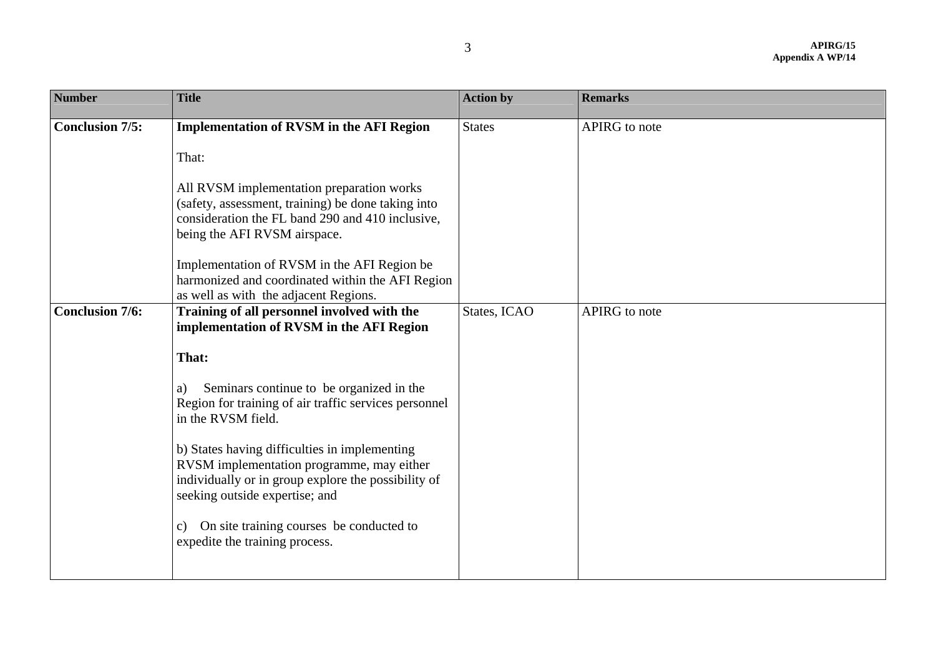| <b>Number</b>                                    | <b>Title</b>                                                                                                                                                                                                                                                                                                                                                                                                                                                                                                                                                                                                                     | <b>Action by</b>              | <b>Remarks</b>                 |
|--------------------------------------------------|----------------------------------------------------------------------------------------------------------------------------------------------------------------------------------------------------------------------------------------------------------------------------------------------------------------------------------------------------------------------------------------------------------------------------------------------------------------------------------------------------------------------------------------------------------------------------------------------------------------------------------|-------------------------------|--------------------------------|
| <b>Conclusion 7/5:</b><br><b>Conclusion 7/6:</b> | <b>Implementation of RVSM in the AFI Region</b><br>That:<br>All RVSM implementation preparation works<br>(safety, assessment, training) be done taking into<br>consideration the FL band 290 and 410 inclusive,<br>being the AFI RVSM airspace.<br>Implementation of RVSM in the AFI Region be<br>harmonized and coordinated within the AFI Region<br>as well as with the adjacent Regions.<br>Training of all personnel involved with the<br>implementation of RVSM in the AFI Region<br>That:<br>Seminars continue to be organized in the<br>a)<br>Region for training of air traffic services personnel<br>in the RVSM field. | <b>States</b><br>States, ICAO | APIRG to note<br>APIRG to note |
|                                                  | b) States having difficulties in implementing<br>RVSM implementation programme, may either<br>individually or in group explore the possibility of<br>seeking outside expertise; and<br>c) On site training courses be conducted to<br>expedite the training process.                                                                                                                                                                                                                                                                                                                                                             |                               |                                |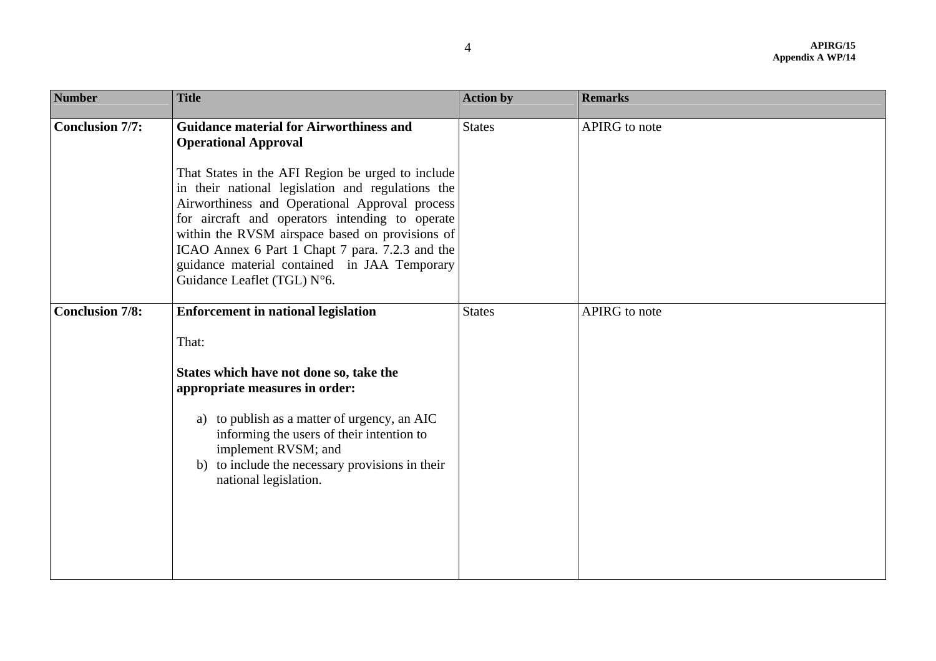| <b>Number</b>          | <b>Title</b>                                                                                                                                                                                                                                                                                                                                                                                                                                                                      | <b>Action by</b> | <b>Remarks</b> |
|------------------------|-----------------------------------------------------------------------------------------------------------------------------------------------------------------------------------------------------------------------------------------------------------------------------------------------------------------------------------------------------------------------------------------------------------------------------------------------------------------------------------|------------------|----------------|
| <b>Conclusion 7/7:</b> | <b>Guidance material for Airworthiness and</b><br><b>Operational Approval</b><br>That States in the AFI Region be urged to include<br>in their national legislation and regulations the<br>Airworthiness and Operational Approval process<br>for aircraft and operators intending to operate<br>within the RVSM airspace based on provisions of<br>ICAO Annex 6 Part 1 Chapt 7 para. 7.2.3 and the<br>guidance material contained in JAA Temporary<br>Guidance Leaflet (TGL) N°6. | <b>States</b>    | APIRG to note  |
| <b>Conclusion 7/8:</b> | <b>Enforcement in national legislation</b><br>That:<br>States which have not done so, take the<br>appropriate measures in order:<br>a) to publish as a matter of urgency, an AIC<br>informing the users of their intention to<br>implement RVSM; and<br>b) to include the necessary provisions in their<br>national legislation.                                                                                                                                                  | <b>States</b>    | APIRG to note  |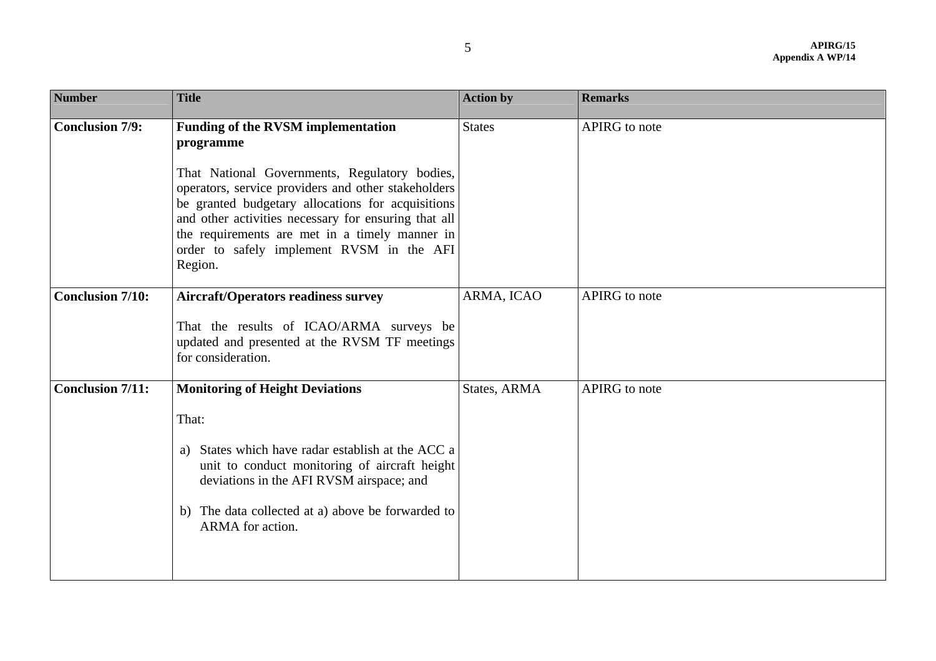| <b>Number</b>           | <b>Title</b>                                                                                                                                                                                                                                                                                                                                                                          | <b>Action by</b> | <b>Remarks</b> |
|-------------------------|---------------------------------------------------------------------------------------------------------------------------------------------------------------------------------------------------------------------------------------------------------------------------------------------------------------------------------------------------------------------------------------|------------------|----------------|
| <b>Conclusion 7/9:</b>  | <b>Funding of the RVSM implementation</b><br>programme<br>That National Governments, Regulatory bodies,<br>operators, service providers and other stakeholders<br>be granted budgetary allocations for acquisitions<br>and other activities necessary for ensuring that all<br>the requirements are met in a timely manner in<br>order to safely implement RVSM in the AFI<br>Region. | <b>States</b>    | APIRG to note  |
| <b>Conclusion 7/10:</b> | <b>Aircraft/Operators readiness survey</b><br>That the results of ICAO/ARMA surveys be<br>updated and presented at the RVSM TF meetings<br>for consideration.                                                                                                                                                                                                                         | ARMA, ICAO       | APIRG to note  |
| <b>Conclusion 7/11:</b> | <b>Monitoring of Height Deviations</b><br>That:<br>States which have radar establish at the ACC a<br>a)<br>unit to conduct monitoring of aircraft height<br>deviations in the AFI RVSM airspace; and<br>b) The data collected at a) above be forwarded to<br>ARMA for action.                                                                                                         | States, ARMA     | APIRG to note  |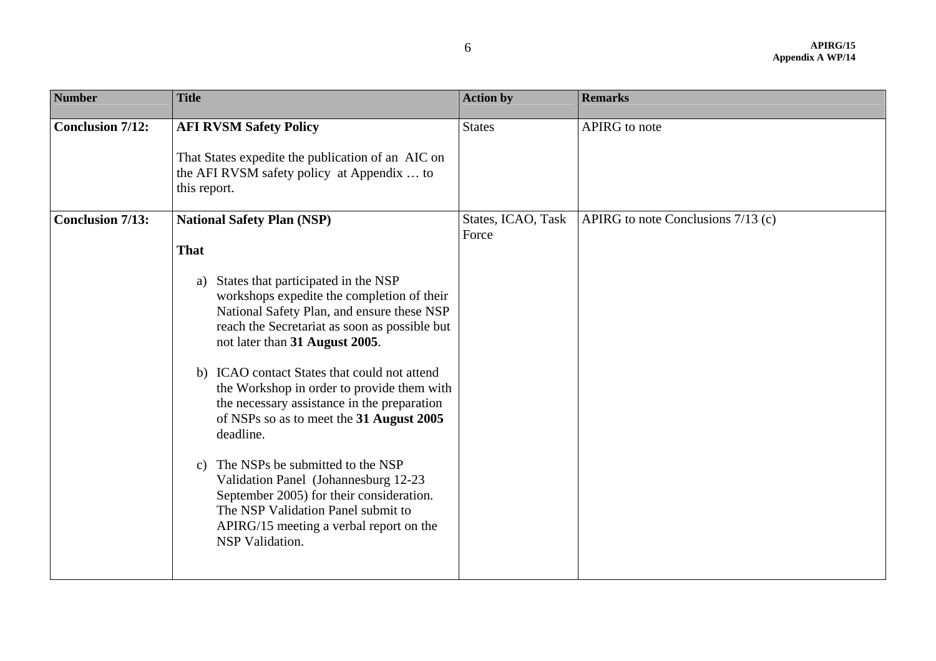| <b>Number</b>           | <b>Title</b>                                                                                                                                                                                                                                                                                                                                                                                                                                                                                                                                                                                                                                                                                                                           | <b>Action by</b>            | <b>Remarks</b>                     |
|-------------------------|----------------------------------------------------------------------------------------------------------------------------------------------------------------------------------------------------------------------------------------------------------------------------------------------------------------------------------------------------------------------------------------------------------------------------------------------------------------------------------------------------------------------------------------------------------------------------------------------------------------------------------------------------------------------------------------------------------------------------------------|-----------------------------|------------------------------------|
| <b>Conclusion 7/12:</b> | <b>AFI RVSM Safety Policy</b><br>That States expedite the publication of an AIC on<br>the AFI RVSM safety policy at Appendix  to<br>this report.                                                                                                                                                                                                                                                                                                                                                                                                                                                                                                                                                                                       | <b>States</b>               | <b>APIRG</b> to note               |
| <b>Conclusion 7/13:</b> | <b>National Safety Plan (NSP)</b><br><b>That</b><br>States that participated in the NSP<br>a)<br>workshops expedite the completion of their<br>National Safety Plan, and ensure these NSP<br>reach the Secretariat as soon as possible but<br>not later than 31 August 2005.<br>b) ICAO contact States that could not attend<br>the Workshop in order to provide them with<br>the necessary assistance in the preparation<br>of NSPs so as to meet the 31 August 2005<br>deadline.<br>The NSPs be submitted to the NSP<br>$\mathbf{c})$<br>Validation Panel (Johannesburg 12-23<br>September 2005) for their consideration.<br>The NSP Validation Panel submit to<br>APIRG/15 meeting a verbal report on the<br><b>NSP</b> Validation. | States, ICAO, Task<br>Force | APIRG to note Conclusions 7/13 (c) |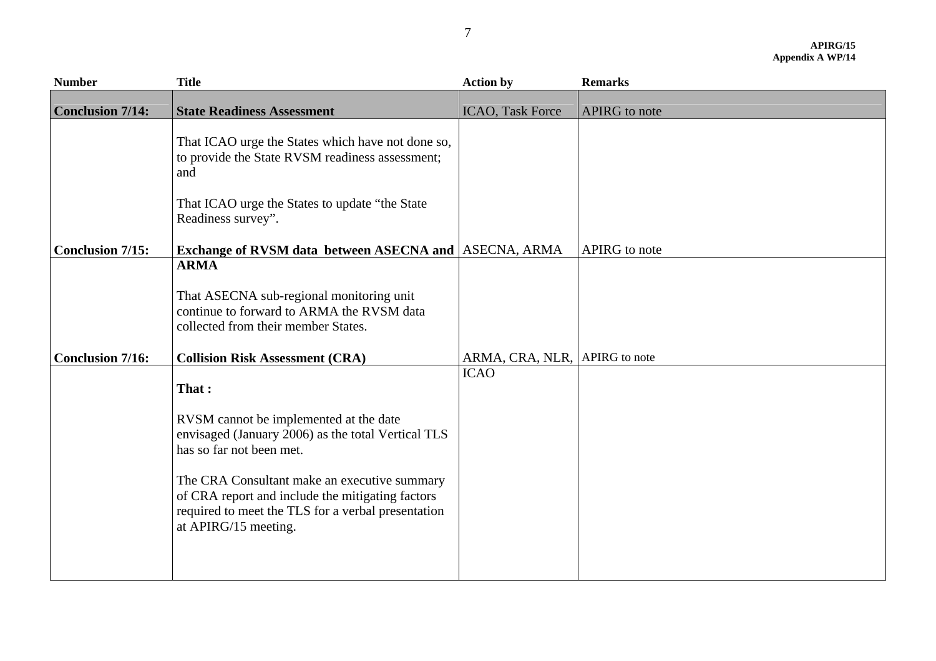| <b>Number</b>           | <b>Title</b>                                                                                                                                                                                                                                                                                                        | <b>Action by</b>              | <b>Remarks</b> |
|-------------------------|---------------------------------------------------------------------------------------------------------------------------------------------------------------------------------------------------------------------------------------------------------------------------------------------------------------------|-------------------------------|----------------|
| <b>Conclusion 7/14:</b> | <b>State Readiness Assessment</b>                                                                                                                                                                                                                                                                                   | <b>ICAO</b> , Task Force      | APIRG to note  |
|                         | That ICAO urge the States which have not done so,<br>to provide the State RVSM readiness assessment;<br>and                                                                                                                                                                                                         |                               |                |
|                         | That ICAO urge the States to update "the State"<br>Readiness survey".                                                                                                                                                                                                                                               |                               |                |
| <b>Conclusion 7/15:</b> | <b>Exchange of RVSM data between ASECNA and ASECNA, ARMA</b>                                                                                                                                                                                                                                                        |                               | APIRG to note  |
|                         | <b>ARMA</b>                                                                                                                                                                                                                                                                                                         |                               |                |
|                         | That ASECNA sub-regional monitoring unit<br>continue to forward to ARMA the RVSM data<br>collected from their member States.                                                                                                                                                                                        |                               |                |
| <b>Conclusion 7/16:</b> | <b>Collision Risk Assessment (CRA)</b>                                                                                                                                                                                                                                                                              | ARMA, CRA, NLR, APIRG to note |                |
|                         | That:<br>RVSM cannot be implemented at the date<br>envisaged (January 2006) as the total Vertical TLS<br>has so far not been met.<br>The CRA Consultant make an executive summary<br>of CRA report and include the mitigating factors<br>required to meet the TLS for a verbal presentation<br>at APIRG/15 meeting. | <b>ICAO</b>                   |                |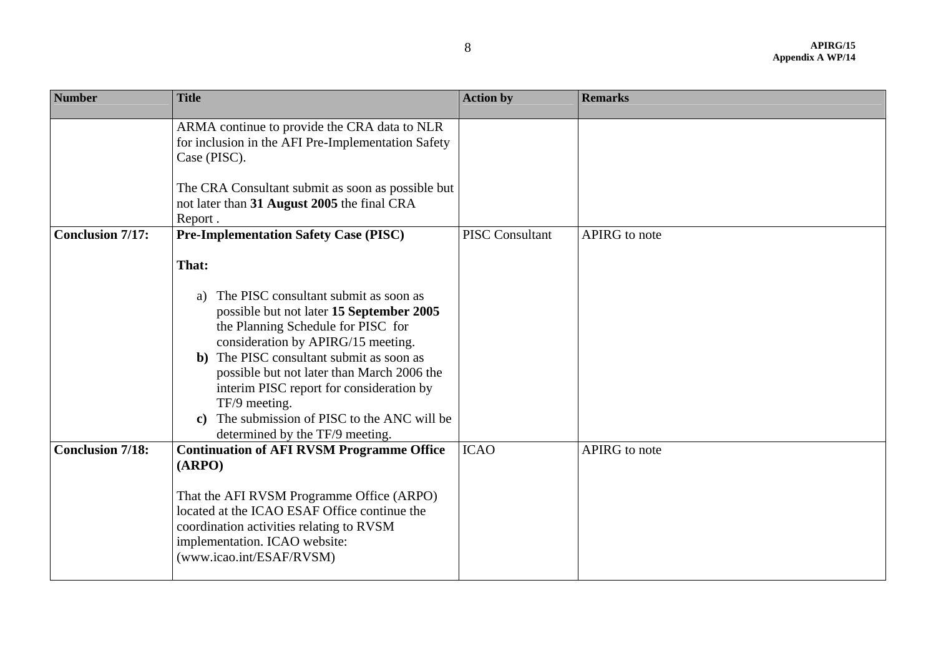| <b>Number</b>           | <b>Title</b>                                                                                                                                                                                                                                                                                                                                                                                                                    | <b>Action by</b>       | <b>Remarks</b> |
|-------------------------|---------------------------------------------------------------------------------------------------------------------------------------------------------------------------------------------------------------------------------------------------------------------------------------------------------------------------------------------------------------------------------------------------------------------------------|------------------------|----------------|
|                         | ARMA continue to provide the CRA data to NLR<br>for inclusion in the AFI Pre-Implementation Safety<br>Case (PISC).<br>The CRA Consultant submit as soon as possible but<br>not later than 31 August 2005 the final CRA<br>Report.                                                                                                                                                                                               |                        |                |
| <b>Conclusion 7/17:</b> | <b>Pre-Implementation Safety Case (PISC)</b>                                                                                                                                                                                                                                                                                                                                                                                    | <b>PISC Consultant</b> | APIRG to note  |
|                         | That:<br>The PISC consultant submit as soon as<br>a)<br>possible but not later 15 September 2005<br>the Planning Schedule for PISC for<br>consideration by APIRG/15 meeting.<br>b) The PISC consultant submit as soon as<br>possible but not later than March 2006 the<br>interim PISC report for consideration by<br>TF/9 meeting.<br>The submission of PISC to the ANC will be<br>$\bf c)$<br>determined by the TF/9 meeting. |                        |                |
| <b>Conclusion 7/18:</b> | <b>Continuation of AFI RVSM Programme Office</b><br>(ARPO)<br>That the AFI RVSM Programme Office (ARPO)<br>located at the ICAO ESAF Office continue the<br>coordination activities relating to RVSM<br>implementation. ICAO website:<br>(www.icao.int/ESAF/RVSM)                                                                                                                                                                | <b>ICAO</b>            | APIRG to note  |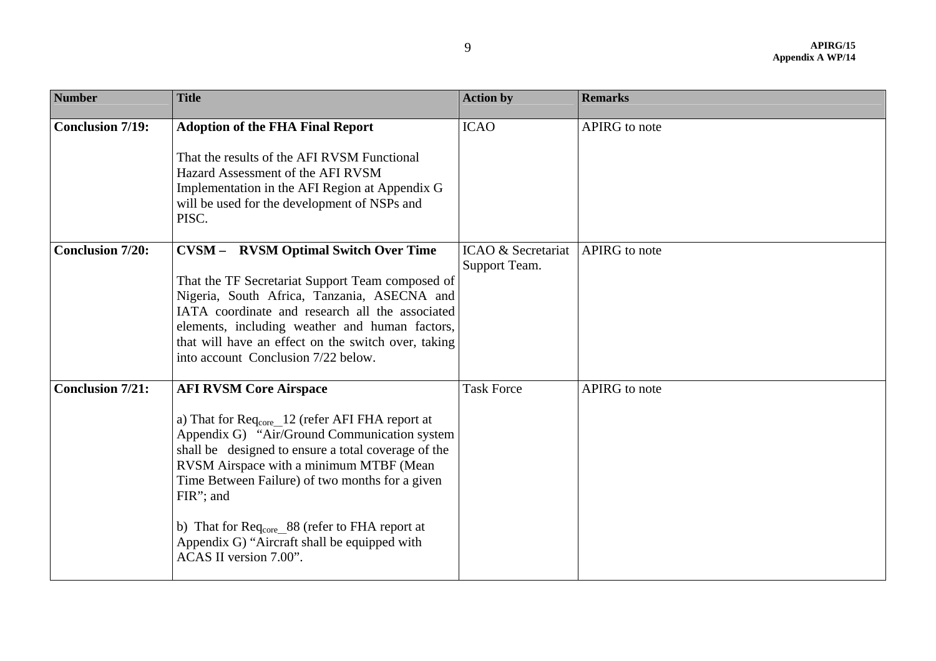| <b>Number</b>           | <b>Title</b>                                                                                                                                                                                                                                                                                                                                                                                                                                                         | <b>Action by</b>                    | <b>Remarks</b>       |
|-------------------------|----------------------------------------------------------------------------------------------------------------------------------------------------------------------------------------------------------------------------------------------------------------------------------------------------------------------------------------------------------------------------------------------------------------------------------------------------------------------|-------------------------------------|----------------------|
| <b>Conclusion 7/19:</b> | <b>Adoption of the FHA Final Report</b><br>That the results of the AFI RVSM Functional<br>Hazard Assessment of the AFI RVSM<br>Implementation in the AFI Region at Appendix G<br>will be used for the development of NSPs and<br>PISC.                                                                                                                                                                                                                               | <b>ICAO</b>                         | <b>APIRG</b> to note |
| <b>Conclusion 7/20:</b> | <b>CVSM - RVSM Optimal Switch Over Time</b><br>That the TF Secretariat Support Team composed of<br>Nigeria, South Africa, Tanzania, ASECNA and<br>IATA coordinate and research all the associated<br>elements, including weather and human factors,<br>that will have an effect on the switch over, taking<br>into account Conclusion 7/22 below.                                                                                                                    | ICAO & Secretariat<br>Support Team. | APIRG to note        |
| <b>Conclusion 7/21:</b> | <b>AFI RVSM Core Airspace</b><br>a) That for $\text{Re}q_{\text{core}}$ 12 (refer AFI FHA report at<br>Appendix G) "Air/Ground Communication system<br>shall be designed to ensure a total coverage of the<br>RVSM Airspace with a minimum MTBF (Mean<br>Time Between Failure) of two months for a given<br>FIR"; and<br>b) That for $\text{Req}_{\text{core}}$ 88 (refer to FHA report at<br>Appendix G) "Aircraft shall be equipped with<br>ACAS II version 7.00". | <b>Task Force</b>                   | APIRG to note        |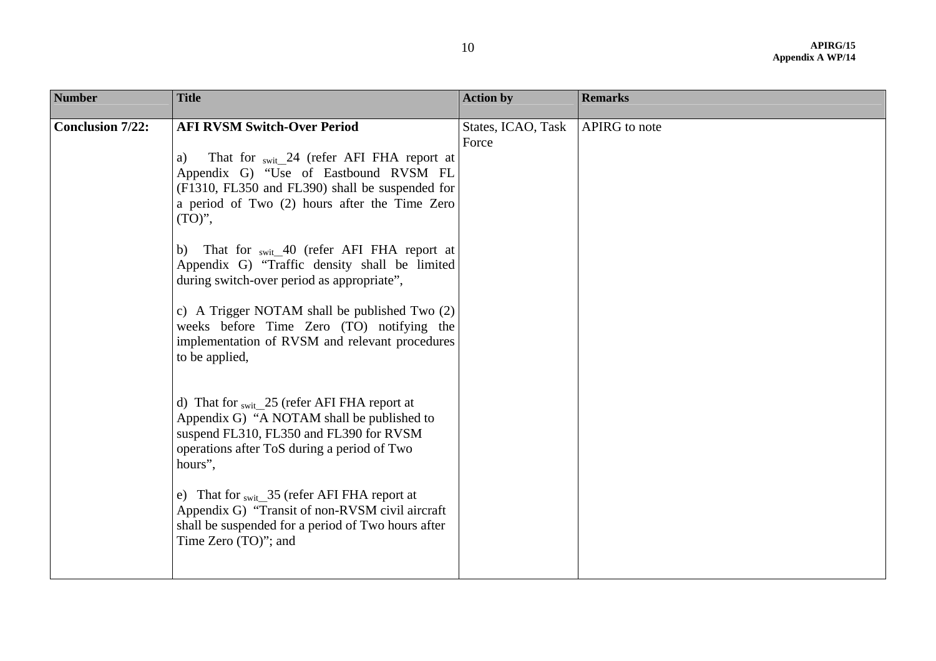| <b>Number</b>           | <b>Title</b>                                                                                                                                                                                                                                                                                                                                                                                                                                                                                                                                                                                                                                                                                                                                                                                                                                                                                                                                                          | <b>Action by</b>            | <b>Remarks</b> |
|-------------------------|-----------------------------------------------------------------------------------------------------------------------------------------------------------------------------------------------------------------------------------------------------------------------------------------------------------------------------------------------------------------------------------------------------------------------------------------------------------------------------------------------------------------------------------------------------------------------------------------------------------------------------------------------------------------------------------------------------------------------------------------------------------------------------------------------------------------------------------------------------------------------------------------------------------------------------------------------------------------------|-----------------------------|----------------|
| <b>Conclusion 7/22:</b> | <b>AFI RVSM Switch-Over Period</b><br>That for <sub>swit</sub> 24 (refer AFI FHA report at<br>a)<br>Appendix G) "Use of Eastbound RVSM FL<br>(F1310, FL350 and FL390) shall be suspended for<br>a period of Two (2) hours after the Time Zero<br>$(TO)$ ",<br>b) That for swit 40 (refer AFI FHA report at<br>Appendix G) "Traffic density shall be limited<br>during switch-over period as appropriate",<br>c) A Trigger NOTAM shall be published Two (2)<br>weeks before Time Zero (TO) notifying the<br>implementation of RVSM and relevant procedures<br>to be applied,<br>d) That for $_{swit}$ 25 (refer AFI FHA report at<br>Appendix G) "A NOTAM shall be published to<br>suspend FL310, FL350 and FL390 for RVSM<br>operations after ToS during a period of Two<br>hours",<br>e) That for swit 35 (refer AFI FHA report at<br>Appendix G) "Transit of non-RVSM civil aircraft"<br>shall be suspended for a period of Two hours after<br>Time Zero (TO)"; and | States, ICAO, Task<br>Force | APIRG to note  |
|                         |                                                                                                                                                                                                                                                                                                                                                                                                                                                                                                                                                                                                                                                                                                                                                                                                                                                                                                                                                                       |                             |                |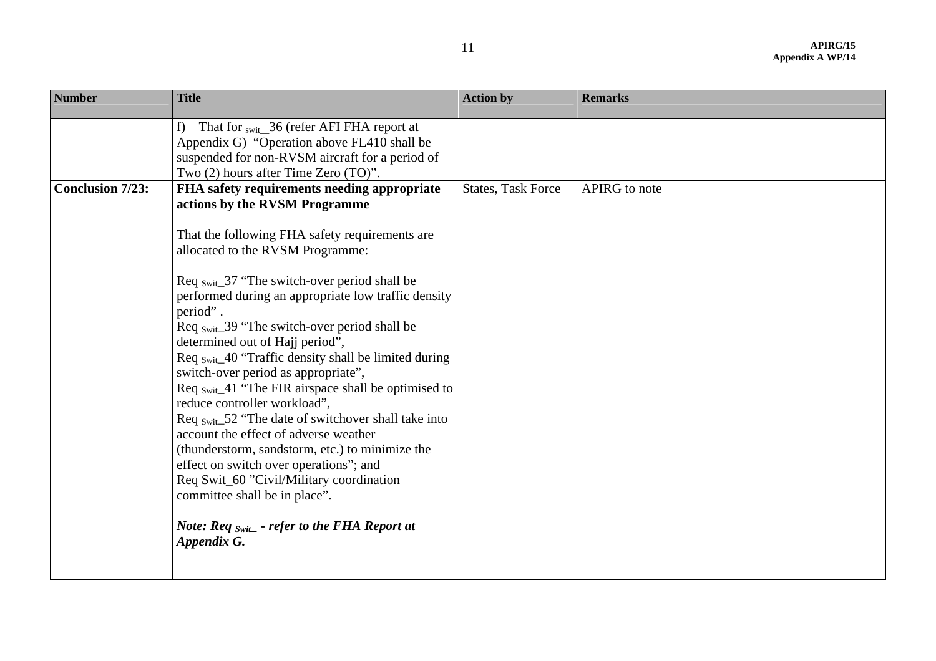| <b>Number</b>           | <b>Title</b>                                                                                                                                                                                                                                                                                                                                                                                                                                                                                                                                                                                                                                                                                                                                                                                                                                                                                                                                              | <b>Action by</b>          | <b>Remarks</b> |
|-------------------------|-----------------------------------------------------------------------------------------------------------------------------------------------------------------------------------------------------------------------------------------------------------------------------------------------------------------------------------------------------------------------------------------------------------------------------------------------------------------------------------------------------------------------------------------------------------------------------------------------------------------------------------------------------------------------------------------------------------------------------------------------------------------------------------------------------------------------------------------------------------------------------------------------------------------------------------------------------------|---------------------------|----------------|
|                         | That for swit 36 (refer AFI FHA report at<br>f)<br>Appendix G) "Operation above FL410 shall be<br>suspended for non-RVSM aircraft for a period of<br>Two (2) hours after Time Zero (TO)".                                                                                                                                                                                                                                                                                                                                                                                                                                                                                                                                                                                                                                                                                                                                                                 |                           |                |
| <b>Conclusion 7/23:</b> | FHA safety requirements needing appropriate<br>actions by the RVSM Programme<br>That the following FHA safety requirements are<br>allocated to the RVSM Programme:<br>Req $_{\text{Swit}\_}37$ "The switch-over period shall be<br>performed during an appropriate low traffic density<br>period".<br>Req swite-39 "The switch-over period shall be<br>determined out of Hajj period",<br>Req swit_40 "Traffic density shall be limited during<br>switch-over period as appropriate",<br>Req $_{\text{Swit}\_41}$ "The FIR airspace shall be optimised to<br>reduce controller workload",<br>Req $_{\text{Swit}}$ 52 "The date of switchover shall take into<br>account the effect of adverse weather<br>(thunderstorm, sandstorm, etc.) to minimize the<br>effect on switch over operations"; and<br>Req Swit_60 "Civil/Military coordination<br>committee shall be in place".<br><i>Note:</i> Req $_{Swit}$ - refer to the FHA Report at<br>Appendix G. | <b>States, Task Force</b> | APIRG to note  |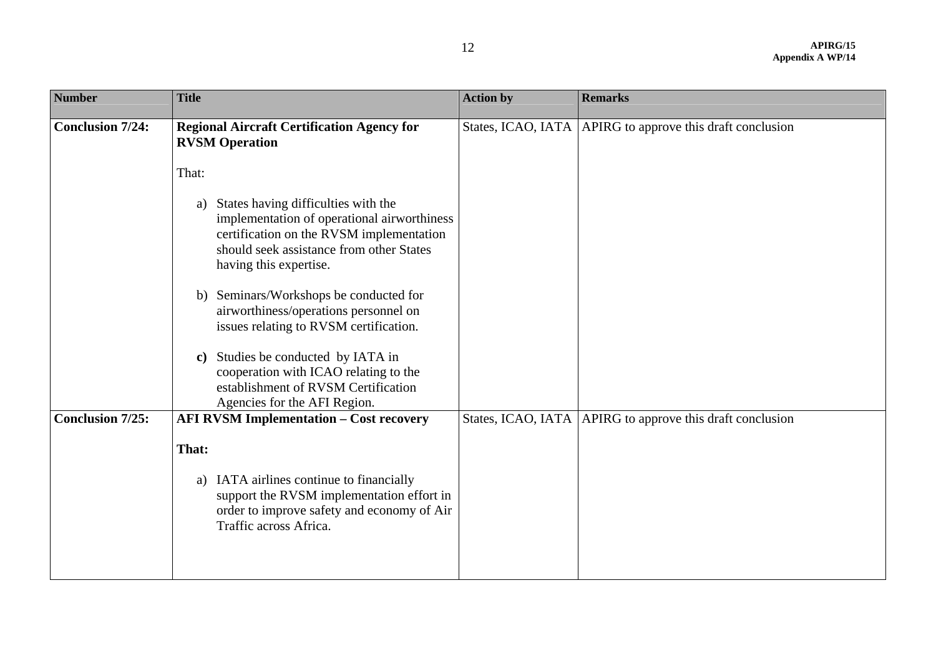| <b>Number</b>           | <b>Title</b>                                                                                                                                                                                               | <b>Action by</b>   | <b>Remarks</b>                                              |
|-------------------------|------------------------------------------------------------------------------------------------------------------------------------------------------------------------------------------------------------|--------------------|-------------------------------------------------------------|
| <b>Conclusion 7/24:</b> | <b>Regional Aircraft Certification Agency for</b><br><b>RVSM Operation</b>                                                                                                                                 | States, ICAO, IATA | APIRG to approve this draft conclusion                      |
|                         | That:                                                                                                                                                                                                      |                    |                                                             |
|                         | States having difficulties with the<br>a)<br>implementation of operational airworthiness<br>certification on the RVSM implementation<br>should seek assistance from other States<br>having this expertise. |                    |                                                             |
|                         | b) Seminars/Workshops be conducted for<br>airworthiness/operations personnel on<br>issues relating to RVSM certification.                                                                                  |                    |                                                             |
|                         | Studies be conducted by IATA in<br>$\mathbf{c})$<br>cooperation with ICAO relating to the<br>establishment of RVSM Certification<br>Agencies for the AFI Region.                                           |                    |                                                             |
| <b>Conclusion 7/25:</b> | <b>AFI RVSM Implementation - Cost recovery</b>                                                                                                                                                             |                    | States, ICAO, IATA   APIRG to approve this draft conclusion |
|                         | That:                                                                                                                                                                                                      |                    |                                                             |
|                         | a) IATA airlines continue to financially<br>support the RVSM implementation effort in<br>order to improve safety and economy of Air<br>Traffic across Africa.                                              |                    |                                                             |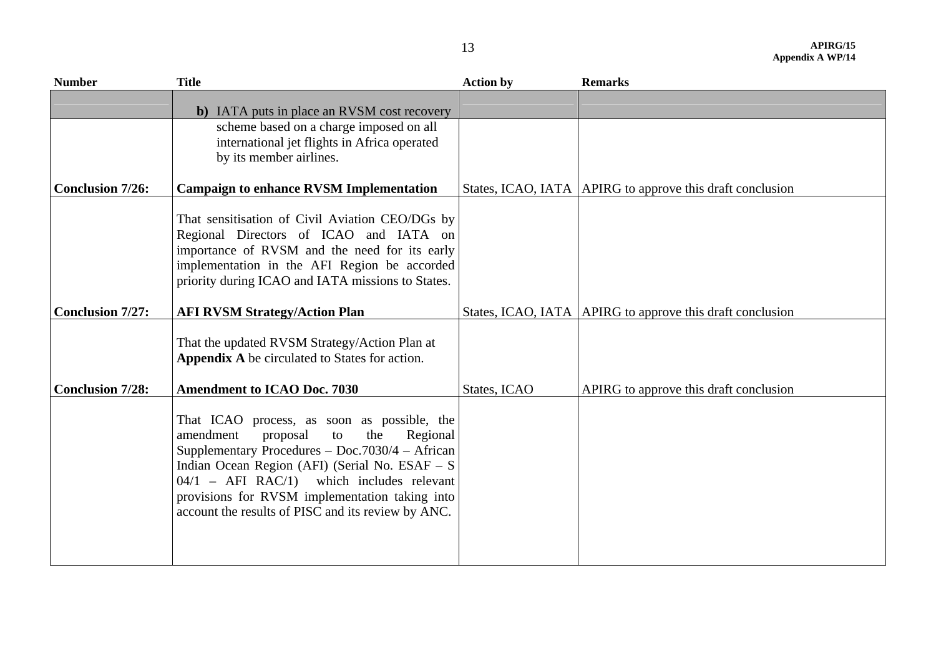| <b>Number</b>           | <b>Title</b>                                                                                                                                                                                                                                                                                                                                              | <b>Action by</b> | <b>Remarks</b>                                              |
|-------------------------|-----------------------------------------------------------------------------------------------------------------------------------------------------------------------------------------------------------------------------------------------------------------------------------------------------------------------------------------------------------|------------------|-------------------------------------------------------------|
|                         | b) IATA puts in place an RVSM cost recovery                                                                                                                                                                                                                                                                                                               |                  |                                                             |
|                         | scheme based on a charge imposed on all<br>international jet flights in Africa operated<br>by its member airlines.                                                                                                                                                                                                                                        |                  |                                                             |
| <b>Conclusion 7/26:</b> | <b>Campaign to enhance RVSM Implementation</b>                                                                                                                                                                                                                                                                                                            |                  | States, ICAO, IATA   APIRG to approve this draft conclusion |
|                         | That sensitisation of Civil Aviation CEO/DGs by<br>Regional Directors of ICAO and IATA on<br>importance of RVSM and the need for its early<br>implementation in the AFI Region be accorded<br>priority during ICAO and IATA missions to States.                                                                                                           |                  |                                                             |
| <b>Conclusion 7/27:</b> | <b>AFI RVSM Strategy/Action Plan</b>                                                                                                                                                                                                                                                                                                                      |                  | States, ICAO, IATA   APIRG to approve this draft conclusion |
| <b>Conclusion 7/28:</b> | That the updated RVSM Strategy/Action Plan at<br>Appendix A be circulated to States for action.<br><b>Amendment to ICAO Doc. 7030</b>                                                                                                                                                                                                                     | States, ICAO     | APIRG to approve this draft conclusion                      |
|                         | That ICAO process, as soon as possible, the<br>amendment<br>the<br>Regional<br>proposal<br>to<br>Supplementary Procedures - Doc.7030/4 - African<br>Indian Ocean Region (AFI) (Serial No. ESAF - S<br>$04/1$ – AFI RAC/1) which includes relevant<br>provisions for RVSM implementation taking into<br>account the results of PISC and its review by ANC. |                  |                                                             |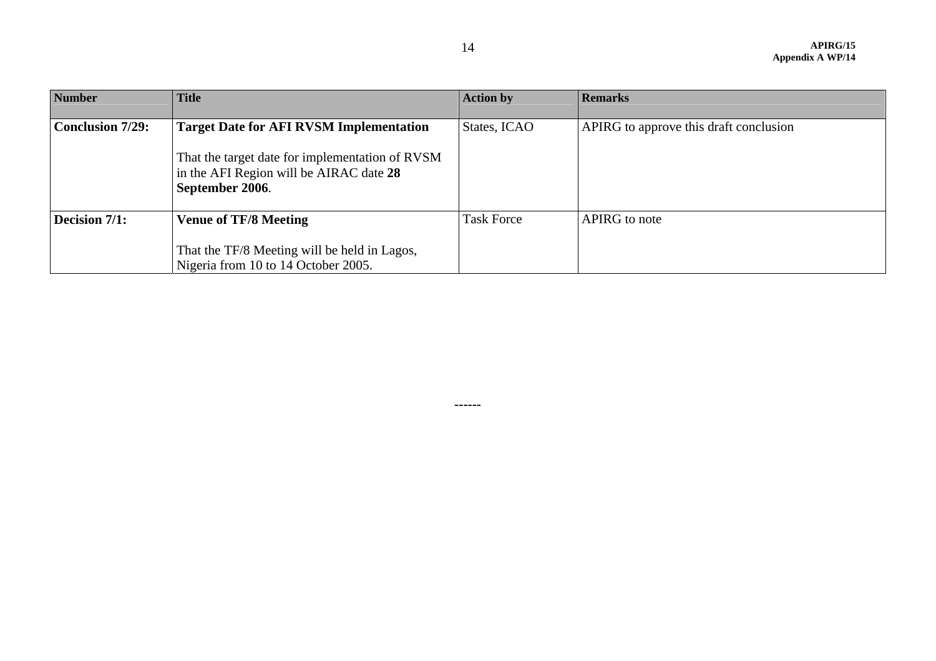| <b>Number</b>           | <b>Title</b>                                                                                                  | <b>Action by</b>  | <b>Remarks</b>                         |
|-------------------------|---------------------------------------------------------------------------------------------------------------|-------------------|----------------------------------------|
|                         |                                                                                                               |                   |                                        |
| <b>Conclusion 7/29:</b> | <b>Target Date for AFI RVSM Implementation</b>                                                                | States, ICAO      | APIRG to approve this draft conclusion |
|                         | That the target date for implementation of RVSM<br>in the AFI Region will be AIRAC date 28<br>September 2006. |                   |                                        |
| Decision 7/1:           | <b>Venue of TF/8 Meeting</b>                                                                                  | <b>Task Force</b> | APIRG to note                          |
|                         |                                                                                                               |                   |                                        |
|                         | That the TF/8 Meeting will be held in Lagos,                                                                  |                   |                                        |
|                         | Nigeria from 10 to 14 October 2005.                                                                           |                   |                                        |

**------**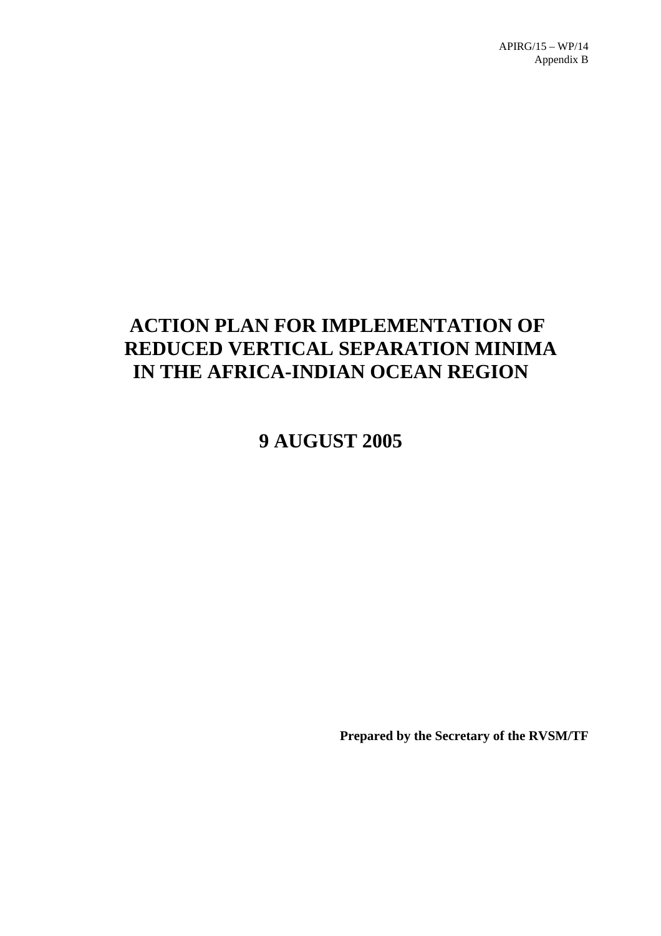# **ACTION PLAN FOR IMPLEMENTATION OF REDUCED VERTICAL SEPARATION MINIMA IN THE AFRICA-INDIAN OCEAN REGION**

**9 AUGUST 2005**

**Prepared by the Secretary of the RVSM/TF**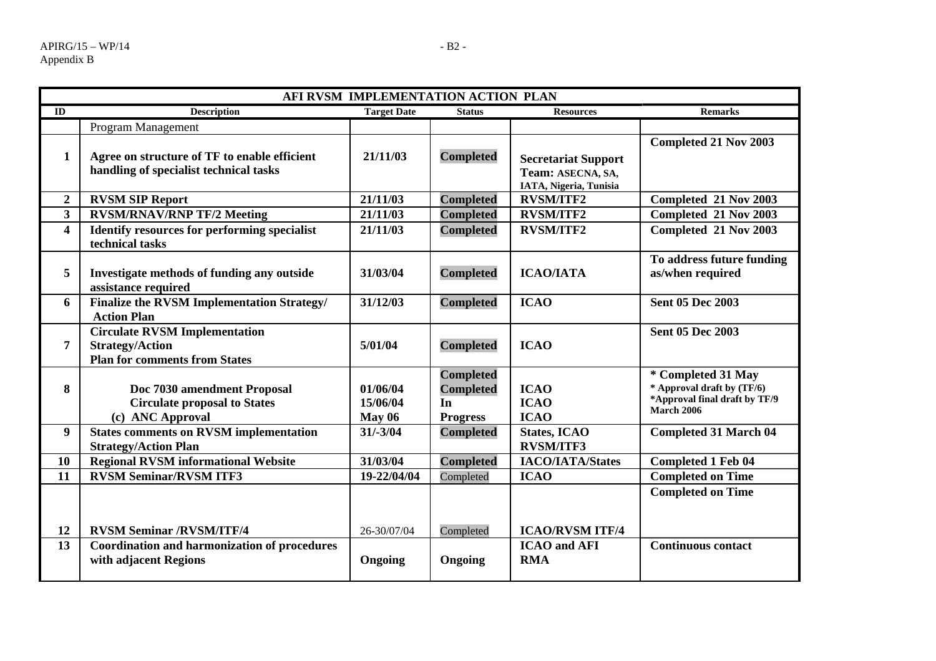|                         | AFI RVSM IMPLEMENTATION ACTION PLAN                                                                    |                                       |                                                               |                                                                           |                                                                                                        |
|-------------------------|--------------------------------------------------------------------------------------------------------|---------------------------------------|---------------------------------------------------------------|---------------------------------------------------------------------------|--------------------------------------------------------------------------------------------------------|
| ID                      | <b>Description</b>                                                                                     | <b>Target Date</b>                    | <b>Status</b>                                                 | <b>Resources</b>                                                          | <b>Remarks</b>                                                                                         |
|                         | Program Management                                                                                     |                                       |                                                               |                                                                           |                                                                                                        |
| 1                       | Agree on structure of TF to enable efficient<br>handling of specialist technical tasks                 | 21/11/03                              | <b>Completed</b>                                              | <b>Secretariat Support</b><br>Team: ASECNA, SA,<br>IATA, Nigeria, Tunisia | <b>Completed 21 Nov 2003</b>                                                                           |
| $\boldsymbol{2}$        | <b>RVSM SIP Report</b>                                                                                 | 21/11/03                              | <b>Completed</b>                                              | <b>RVSM/ITF2</b>                                                          | Completed 21 Nov 2003                                                                                  |
| $\overline{\mathbf{3}}$ | <b>RVSM/RNAV/RNP TF/2 Meeting</b>                                                                      | 21/11/03                              | <b>Completed</b>                                              | <b>RVSM/ITF2</b>                                                          | Completed 21 Nov 2003                                                                                  |
| $\overline{\mathbf{4}}$ | <b>Identify resources for performing specialist</b><br>technical tasks                                 | 21/11/03                              | <b>Completed</b>                                              | <b>RVSM/ITF2</b>                                                          | Completed 21 Nov 2003                                                                                  |
| 5                       | Investigate methods of funding any outside<br>assistance required                                      | 31/03/04                              | <b>Completed</b>                                              | <b>ICAO/IATA</b>                                                          | To address future funding<br>as/when required                                                          |
| 6                       | <b>Finalize the RVSM Implementation Strategy/</b><br><b>Action Plan</b>                                | 31/12/03                              | <b>Completed</b>                                              | <b>ICAO</b>                                                               | <b>Sent 05 Dec 2003</b>                                                                                |
| 7                       | <b>Circulate RVSM Implementation</b><br><b>Strategy/Action</b><br><b>Plan for comments from States</b> | 5/01/04                               | <b>Completed</b>                                              | <b>ICAO</b>                                                               | <b>Sent 05 Dec 2003</b>                                                                                |
| 8                       | Doc 7030 amendment Proposal<br><b>Circulate proposal to States</b><br>(c) ANC Approval                 | 01/06/04<br>15/06/04<br><b>May 06</b> | <b>Completed</b><br><b>Completed</b><br>In<br><b>Progress</b> | <b>ICAO</b><br><b>ICAO</b><br><b>ICAO</b>                                 | * Completed 31 May<br>* Approval draft by (TF/6)<br>*Approval final draft by TF/9<br><b>March 2006</b> |
| 9                       | <b>States comments on RVSM implementation</b><br><b>Strategy/Action Plan</b>                           | $31/-3/04$                            | <b>Completed</b>                                              | <b>States, ICAO</b><br><b>RVSM/ITF3</b>                                   | <b>Completed 31 March 04</b>                                                                           |
| 10                      | <b>Regional RVSM informational Website</b>                                                             | 31/03/04                              | <b>Completed</b>                                              | <b>IACO/IATA/States</b>                                                   | <b>Completed 1 Feb 04</b>                                                                              |
| 11                      | <b>RVSM Seminar/RVSM ITF3</b>                                                                          | 19-22/04/04                           | Completed                                                     | <b>ICAO</b>                                                               | <b>Completed on Time</b>                                                                               |
| 12                      | <b>RVSM Seminar /RVSM/ITF/4</b>                                                                        | 26-30/07/04                           | Completed                                                     | <b>ICAO/RVSM ITF/4</b>                                                    | <b>Completed on Time</b>                                                                               |
| 13                      | <b>Coordination and harmonization of procedures</b><br>with adjacent Regions                           | Ongoing                               | Ongoing                                                       | <b>ICAO</b> and AFI<br><b>RMA</b>                                         | <b>Continuous contact</b>                                                                              |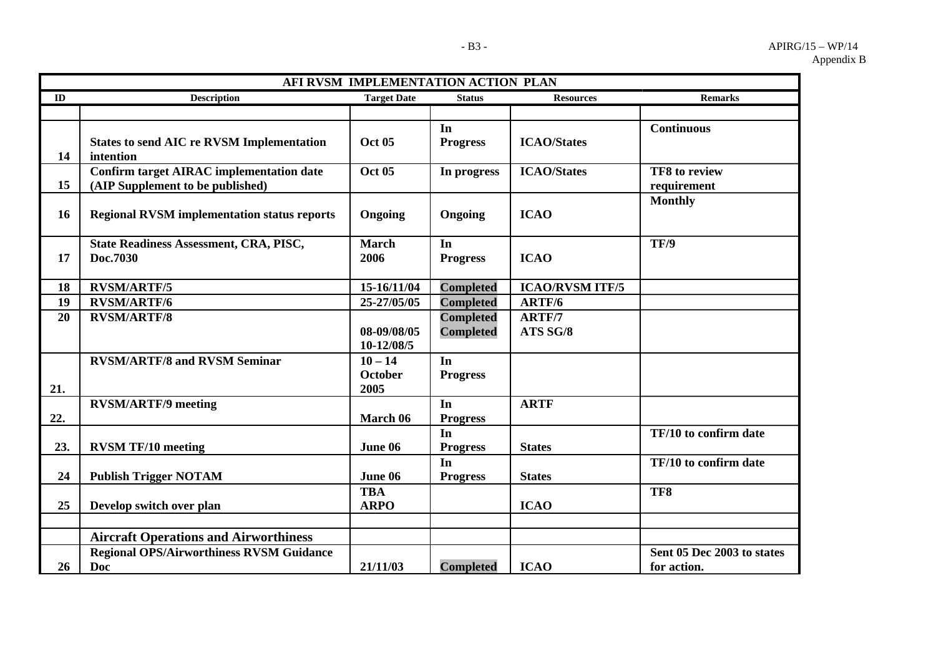|     | AFI RVSM IMPLEMENTATION ACTION PLAN                                                 |                                     |                                      |                           |                                           |
|-----|-------------------------------------------------------------------------------------|-------------------------------------|--------------------------------------|---------------------------|-------------------------------------------|
| ID  | <b>Description</b>                                                                  | <b>Target Date</b>                  | <b>Status</b>                        | <b>Resources</b>          | <b>Remarks</b>                            |
|     |                                                                                     |                                     | In                                   |                           | <b>Continuous</b>                         |
| 14  | <b>States to send AIC re RVSM Implementation</b><br>intention                       | <b>Oct 05</b>                       | <b>Progress</b>                      | <b>ICAO/States</b>        |                                           |
| 15  | <b>Confirm target AIRAC implementation date</b><br>(AIP Supplement to be published) | <b>Oct 05</b>                       | In progress                          | <b>ICAO/States</b>        | TF8 to review<br>requirement              |
| 16  | <b>Regional RVSM implementation status reports</b>                                  | Ongoing                             | Ongoing                              | <b>ICAO</b>               | <b>Monthly</b>                            |
| 17  | <b>State Readiness Assessment, CRA, PISC,</b><br>Doc.7030                           | <b>March</b><br>2006                | In<br><b>Progress</b>                | <b>ICAO</b>               | TF/9                                      |
| 18  | <b>RVSM/ARTF/5</b>                                                                  | 15-16/11/04                         | <b>Completed</b>                     | <b>ICAO/RVSM ITF/5</b>    |                                           |
| 19  | <b>RVSM/ARTF/6</b>                                                                  | 25-27/05/05                         | <b>Completed</b>                     | ARTF/6                    |                                           |
| 20  | <b>RVSM/ARTF/8</b>                                                                  | 08-09/08/05<br>10-12/08/5           | <b>Completed</b><br><b>Completed</b> | <b>ARTF/7</b><br>ATS SG/8 |                                           |
| 21. | <b>RVSM/ARTF/8 and RVSM Seminar</b>                                                 | $10 - 14$<br><b>October</b><br>2005 | In<br><b>Progress</b>                |                           |                                           |
| 22. | <b>RVSM/ARTF/9 meeting</b>                                                          | March 06                            | In<br><b>Progress</b>                | <b>ARTF</b>               |                                           |
| 23. | <b>RVSM TF/10 meeting</b>                                                           | June 06                             | In<br><b>Progress</b>                | <b>States</b>             | TF/10 to confirm date                     |
| 24  | <b>Publish Trigger NOTAM</b>                                                        | June 06                             | In<br><b>Progress</b>                | <b>States</b>             | TF/10 to confirm date                     |
| 25  | Develop switch over plan                                                            | <b>TBA</b><br><b>ARPO</b>           |                                      | <b>ICAO</b>               | TF8                                       |
|     | <b>Aircraft Operations and Airworthiness</b>                                        |                                     |                                      |                           |                                           |
| 26  | <b>Regional OPS/Airworthiness RVSM Guidance</b><br>Doc                              | 21/11/03                            | <b>Completed</b>                     | <b>ICAO</b>               | Sent 05 Dec 2003 to states<br>for action. |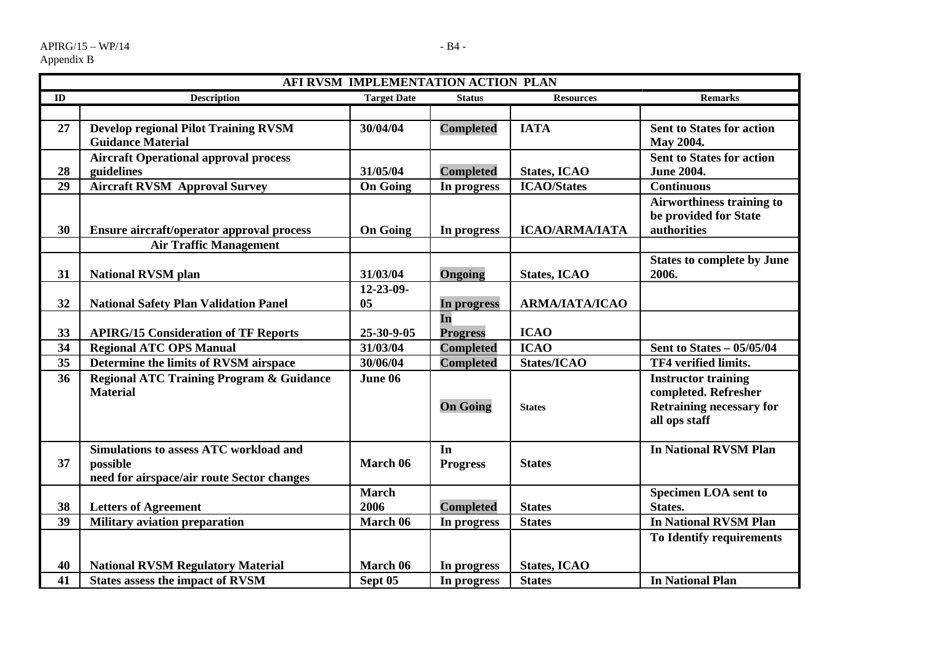|    | AFI RVSM IMPLEMENTATION ACTION PLAN                 |                    |                  |                       |                                   |
|----|-----------------------------------------------------|--------------------|------------------|-----------------------|-----------------------------------|
| ID | <b>Description</b>                                  | <b>Target Date</b> | <b>Status</b>    | <b>Resources</b>      | <b>Remarks</b>                    |
|    |                                                     |                    |                  |                       |                                   |
| 27 | <b>Develop regional Pilot Training RVSM</b>         | 30/04/04           | <b>Completed</b> | <b>IATA</b>           | <b>Sent to States for action</b>  |
|    | <b>Guidance Material</b>                            |                    |                  |                       | May 2004.                         |
|    | <b>Aircraft Operational approval process</b>        |                    |                  |                       | <b>Sent to States for action</b>  |
| 28 | guidelines                                          | 31/05/04           | <b>Completed</b> | <b>States, ICAO</b>   | <b>June 2004.</b>                 |
| 29 | <b>Aircraft RVSM Approval Survey</b>                | <b>On Going</b>    | In progress      | <b>ICAO/States</b>    | <b>Continuous</b>                 |
|    |                                                     |                    |                  |                       | <b>Airworthiness training to</b>  |
|    |                                                     |                    |                  |                       | be provided for State             |
| 30 | Ensure aircraft/operator approval process           | <b>On Going</b>    | In progress      | <b>ICAO/ARMA/IATA</b> | authorities                       |
|    | <b>Air Traffic Management</b>                       |                    |                  |                       |                                   |
|    |                                                     |                    |                  |                       | <b>States to complete by June</b> |
| 31 | <b>National RVSM plan</b>                           | 31/03/04           | Ongoing          | <b>States, ICAO</b>   | 2006.                             |
|    |                                                     | 12-23-09-          |                  |                       |                                   |
| 32 | <b>National Safety Plan Validation Panel</b>        | 05                 | In progress      | ΑRΜΑ/ΙΑΤΑ/ΙΣΑΟ        |                                   |
|    |                                                     |                    | In               |                       |                                   |
| 33 | <b>APIRG/15 Consideration of TF Reports</b>         | 25-30-9-05         | <b>Progress</b>  | <b>ICAO</b>           |                                   |
| 34 | <b>Regional ATC OPS Manual</b>                      | 31/03/04           | <b>Completed</b> | <b>ICAO</b>           | Sent to States - 05/05/04         |
| 35 | Determine the limits of RVSM airspace               | 30/06/04           | <b>Completed</b> | States/ICAO           | TF4 verified limits.              |
| 36 | <b>Regional ATC Training Program &amp; Guidance</b> | June 06            |                  |                       | <b>Instructor training</b>        |
|    | <b>Material</b>                                     |                    |                  |                       | completed. Refresher              |
|    |                                                     |                    | <b>On Going</b>  | <b>States</b>         | <b>Retraining necessary for</b>   |
|    |                                                     |                    |                  |                       | all ops staff                     |
|    | <b>Simulations to assess ATC workload and</b>       |                    | In               |                       | <b>In National RVSM Plan</b>      |
| 37 | possible                                            | March 06           |                  | <b>States</b>         |                                   |
|    | need for airspace/air route Sector changes          |                    | <b>Progress</b>  |                       |                                   |
|    |                                                     | <b>March</b>       |                  |                       | <b>Specimen LOA sent to</b>       |
| 38 | <b>Letters of Agreement</b>                         | 2006               | <b>Completed</b> | <b>States</b>         | States.                           |
| 39 | <b>Military aviation preparation</b>                | March 06           | In progress      | <b>States</b>         | <b>In National RVSM Plan</b>      |
|    |                                                     |                    |                  |                       | To Identify requirements          |
|    |                                                     |                    |                  |                       |                                   |
| 40 | <b>National RVSM Regulatory Material</b>            | March 06           | In progress      | <b>States, ICAO</b>   |                                   |
| 41 | <b>States assess the impact of RVSM</b>             | Sept 05            | In progress      | <b>States</b>         | <b>In National Plan</b>           |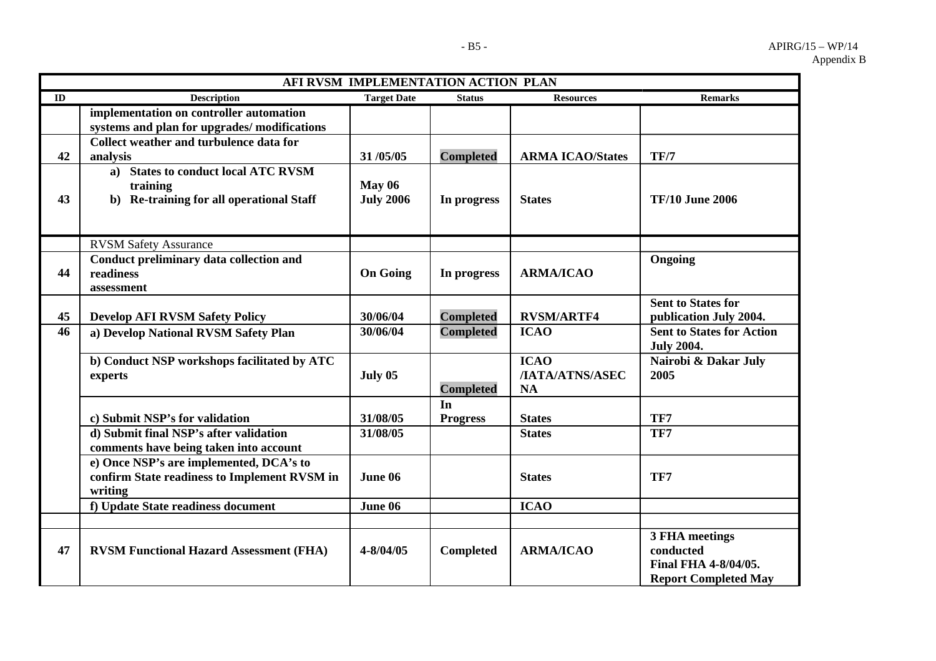|    | AFI RVSM IMPLEMENTATION ACTION PLAN                                                                |                                   |                  |                                             |                                                                                    |
|----|----------------------------------------------------------------------------------------------------|-----------------------------------|------------------|---------------------------------------------|------------------------------------------------------------------------------------|
| ID | <b>Description</b>                                                                                 | <b>Target Date</b>                | <b>Status</b>    | <b>Resources</b>                            | <b>Remarks</b>                                                                     |
|    | implementation on controller automation                                                            |                                   |                  |                                             |                                                                                    |
|    | systems and plan for upgrades/modifications                                                        |                                   |                  |                                             |                                                                                    |
|    | Collect weather and turbulence data for                                                            |                                   |                  |                                             |                                                                                    |
| 42 | analysis                                                                                           | 31/05/05                          | <b>Completed</b> | <b>ARMA ICAO/States</b>                     | <b>TF/7</b>                                                                        |
| 43 | a) States to conduct local ATC RVSM<br>training<br>b) Re-training for all operational Staff        | <b>May 06</b><br><b>July 2006</b> | In progress      | <b>States</b>                               | <b>TF/10 June 2006</b>                                                             |
|    | <b>RVSM Safety Assurance</b>                                                                       |                                   |                  |                                             |                                                                                    |
| 44 | Conduct preliminary data collection and<br>readiness<br>assessment                                 | <b>On Going</b>                   | In progress      | <b>ARMA/ICAO</b>                            | Ongoing                                                                            |
|    |                                                                                                    |                                   |                  |                                             | <b>Sent to States for</b>                                                          |
| 45 | <b>Develop AFI RVSM Safety Policy</b>                                                              | 30/06/04                          | <b>Completed</b> | <b>RVSM/ARTF4</b>                           | publication July 2004.                                                             |
| 46 | a) Develop National RVSM Safety Plan                                                               | 30/06/04                          | <b>Completed</b> | <b>ICAO</b>                                 | <b>Sent to States for Action</b><br><b>July 2004.</b>                              |
|    | b) Conduct NSP workshops facilitated by ATC<br>experts                                             | July 05                           | <b>Completed</b> | <b>ICAO</b><br>/IATA/ATNS/ASEC<br><b>NA</b> | Nairobi & Dakar July<br>2005                                                       |
|    |                                                                                                    |                                   | In               |                                             |                                                                                    |
|    | c) Submit NSP's for validation                                                                     | 31/08/05                          | <b>Progress</b>  | <b>States</b>                               | TF7                                                                                |
|    | d) Submit final NSP's after validation<br>comments have being taken into account                   | 31/08/05                          |                  | <b>States</b>                               | TF7                                                                                |
|    | e) Once NSP's are implemented, DCA's to<br>confirm State readiness to Implement RVSM in<br>writing | June 06                           |                  | <b>States</b>                               | TF7                                                                                |
|    | f) Update State readiness document                                                                 | June 06                           |                  | <b>ICAO</b>                                 |                                                                                    |
|    |                                                                                                    |                                   |                  |                                             |                                                                                    |
| 47 | <b>RVSM Functional Hazard Assessment (FHA)</b>                                                     | 4-8/04/05                         | <b>Completed</b> | <b>ARMA/ICAO</b>                            | 3 FHA meetings<br>conducted<br>Final FHA 4-8/04/05.<br><b>Report Completed May</b> |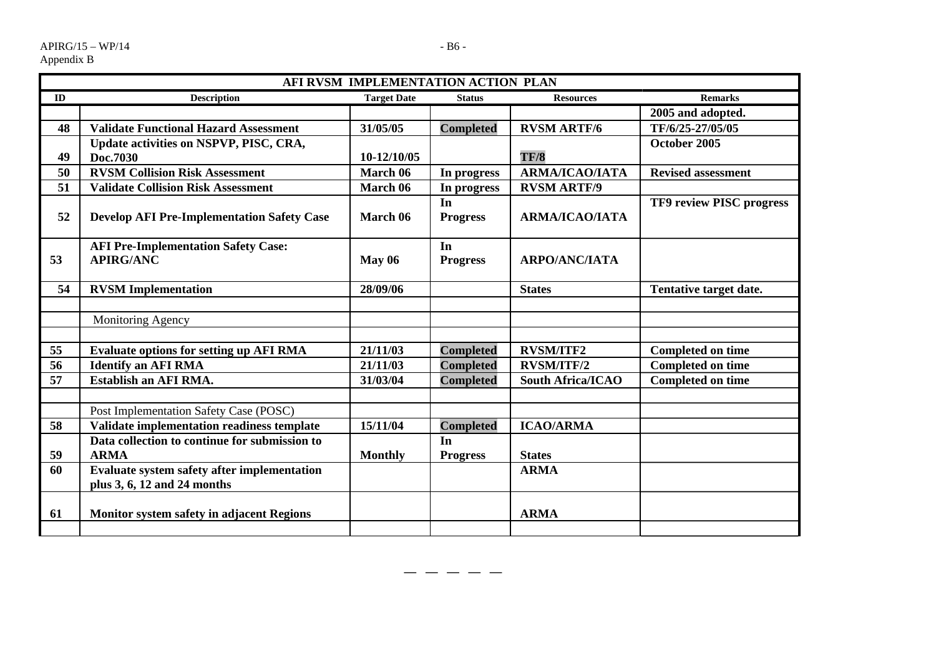**59** 

|    |                                                                | AFI RVSM IMPLEMENTATION ACTION PLAN |                       |                          |                           |
|----|----------------------------------------------------------------|-------------------------------------|-----------------------|--------------------------|---------------------------|
| ID | <b>Description</b>                                             | <b>Target Date</b>                  | <b>Status</b>         | <b>Resources</b>         | <b>Remarks</b>            |
|    |                                                                |                                     |                       |                          | 2005 and adopted.         |
| 48 | <b>Validate Functional Hazard Assessment</b>                   | 31/05/05                            | <b>Completed</b>      | <b>RVSM ARTF/6</b>       | TF/6/25-27/05/05          |
|    | Update activities on NSPVP, PISC, CRA,                         |                                     |                       |                          | October 2005              |
| 49 | Doc.7030                                                       | 10-12/10/05                         |                       | <b>TF/8</b>              |                           |
| 50 | <b>RVSM Collision Risk Assessment</b>                          | March 06                            | In progress           | <b>ARMA/ICAO/IATA</b>    | <b>Revised assessment</b> |
| 51 | <b>Validate Collision Risk Assessment</b>                      | March 06                            | In progress           | <b>RVSM ARTF/9</b>       |                           |
| 52 | <b>Develop AFI Pre-Implementation Safety Case</b>              | March 06                            | In<br><b>Progress</b> | ΑRΜΑ/ICAO/IATA           | TF9 review PISC progress  |
| 53 | <b>AFI Pre-Implementation Safety Case:</b><br><b>APIRG/ANC</b> | <b>May 06</b>                       | In<br><b>Progress</b> | <b>ARPO/ANC/IATA</b>     |                           |
| 54 | <b>RVSM</b> Implementation                                     | 28/09/06                            |                       | <b>States</b>            | Tentative target date.    |
|    | Monitoring Agency                                              |                                     |                       |                          |                           |
| 55 | <b>Evaluate options for setting up AFI RMA</b>                 | 21/11/03                            | <b>Completed</b>      | <b>RVSM/ITF2</b>         | <b>Completed on time</b>  |
| 56 | <b>Identify an AFI RMA</b>                                     | 21/11/03                            | <b>Completed</b>      | <b>RVSM/ITF/2</b>        | <b>Completed on time</b>  |
| 57 | <b>Establish an AFI RMA.</b>                                   | 31/03/04                            | <b>Completed</b>      | <b>South Africa/ICAO</b> | <b>Completed on time</b>  |
|    | Post Implementation Safety Case (POSC)                         |                                     |                       |                          |                           |
| 58 | <b>Validate implementation readiness template</b>              | 15/11/04                            | <b>Completed</b>      | <b>ICAO/ARMA</b>         |                           |
|    | Data collection to continue for submission to                  |                                     | In                    |                          |                           |

ARMA Monthly

**61** Monitor system safety in adjacent Regions ARMA

**60 Evaluate system safety after implementation** 

**plus 3, 6, 12 and 24 months** 

**— — — — —** 

Progress States

**ARMA**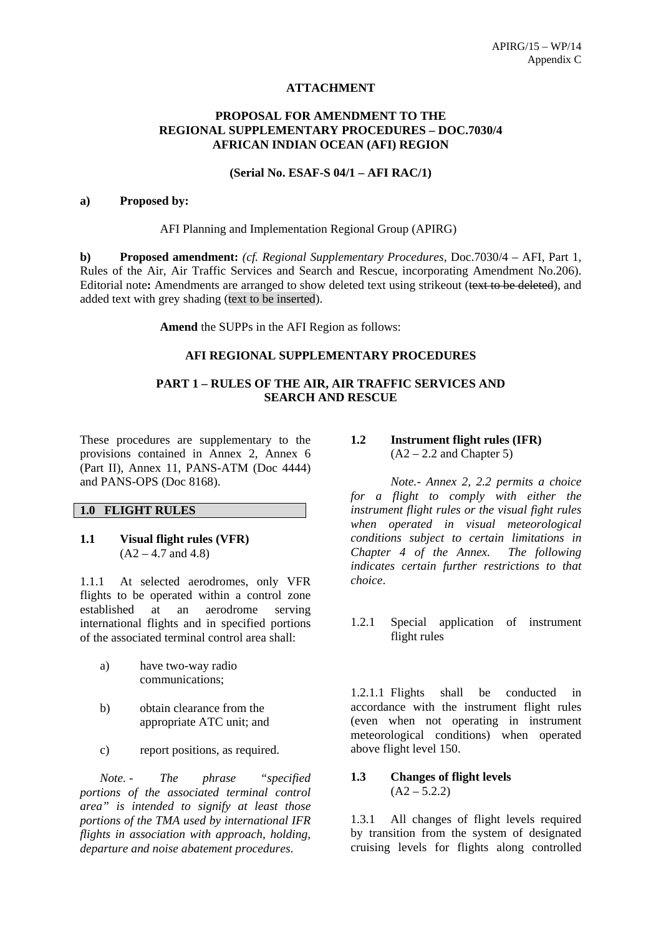#### **ATTACHMENT**

# **PROPOSAL FOR AMENDMENT TO THE REGIONAL SUPPLEMENTARY PROCEDURES – DOC.7030/4 AFRICAN INDIAN OCEAN (AFI) REGION**

#### **(Serial No. ESAF-S 04/1 – AFI RAC/1)**

#### **a) Proposed by:**

AFI Planning and Implementation Regional Group (APIRG)

**b) Proposed amendment:** *(cf. Regional Supplementary Procedures,* Doc.7030/4 – AFI, Part 1, Rules of the Air, Air Traffic Services and Search and Rescue, incorporating Amendment No.206). Editorial note**:** Amendments are arranged to show deleted text using strikeout (text to be deleted), and added text with grey shading (text to be inserted).

**Amend** the SUPPs in the AFI Region as follows:

# **AFI REGIONAL SUPPLEMENTARY PROCEDURES**

## **PART 1 – RULES OF THE AIR, AIR TRAFFIC SERVICES AND SEARCH AND RESCUE**

These procedures are supplementary to the provisions contained in Annex 2, Annex 6 (Part II), Annex 11, PANS-ATM (Doc 4444) and PANS-OPS (Doc 8168).

# **1.0 FLIGHT RULES**

**1.1 Visual flight rules (VFR)**   $(A2 - 4.7$  and 4.8)

1.1.1 At selected aerodromes, only VFR flights to be operated within a control zone established at an aerodrome serving international flights and in specified portions of the associated terminal control area shall:

- a) have two-way radio communications;
- b) obtain clearance from the appropriate ATC unit; and
- c) report positions, as required.

*Note. - The phrase "specified portions of the associated terminal control area" is intended to signify at least those portions of the TMA used by international IFR flights in association with approach, holding, departure and noise abatement procedures*.

# **1.2 Instrument flight rules (IFR)**   $(A2 - 2.2$  and Chapter 5)

*Note.- Annex 2, 2.2 permits a choice for a flight to comply with either the instrument flight rules or the visual fight rules when operated in visual meteorological conditions subject to certain limitations in Chapter 4 of the Annex. The following indicates certain further restrictions to that choice*.

1.2.1 Special application of instrument flight rules

1.2.1.1 Flights shall be conducted in accordance with the instrument flight rules (even when not operating in instrument meteorological conditions) when operated above flight level 150.

#### **1.3 Changes of flight levels**   $(A2 - 5.2.2)$

1.3.1 All changes of flight levels required by transition from the system of designated cruising levels for flights along controlled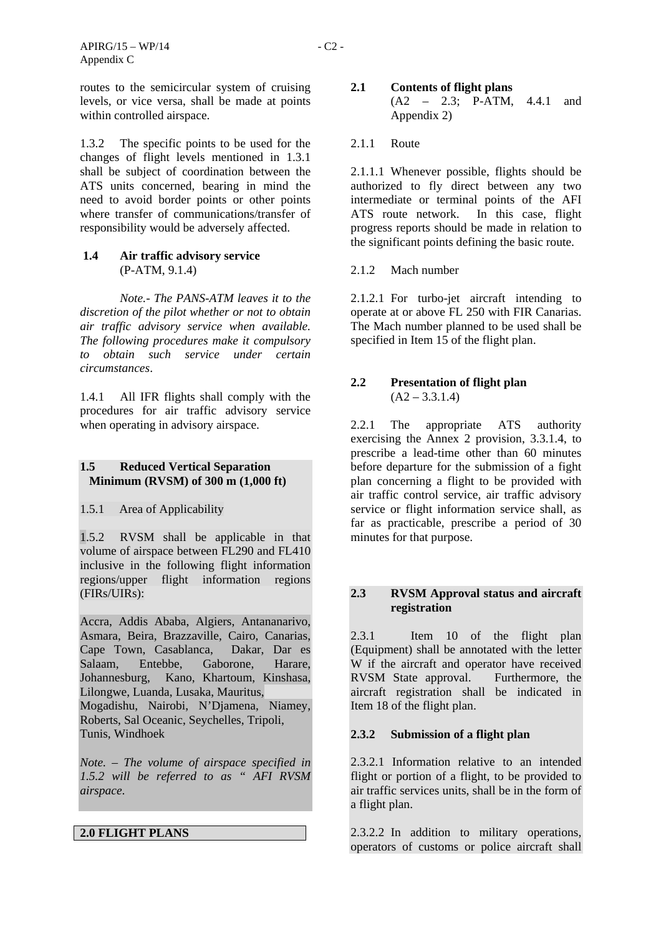routes to the semicircular system of cruising levels, or vice versa, shall be made at points within controlled airspace.

1.3.2 The specific points to be used for the changes of flight levels mentioned in 1.3.1 shall be subject of coordination between the ATS units concerned, bearing in mind the need to avoid border points or other points where transfer of communications/transfer of responsibility would be adversely affected.

# **1.4 Air traffic advisory service** (P-ATM, 9.1.4)

*Note.- The PANS-ATM leaves it to the discretion of the pilot whether or not to obtain air traffic advisory service when available. The following procedures make it compulsory to obtain such service under certain circumstances*.

1.4.1 All IFR flights shall comply with the procedures for air traffic advisory service when operating in advisory airspace.

## **1.5 Reduced Vertical Separation Minimum (RVSM) of 300 m (1,000 ft)**

1.5.1 Area of Applicability

1.5.2 RVSM shall be applicable in that volume of airspace between FL290 and FL410 inclusive in the following flight information regions/upper flight information regions (FIRs/UIRs):

Accra, Addis Ababa, Algiers, Antananarivo, Asmara, Beira, Brazzaville, Cairo, Canarias, Cape Town, Casablanca, Dakar, Dar es Salaam, Entebbe, Gaborone, Harare, Johannesburg, Kano, Khartoum, Kinshasa, Lilongwe, Luanda, Lusaka, Mauritus,

Mogadishu, Nairobi, N'Djamena, Niamey, Roberts, Sal Oceanic, Seychelles, Tripoli, Tunis, Windhoek

*Note. – The volume of airspace specified in 1.5.2 will be referred to as " AFI RVSM airspace*.

# **2.0 FLIGHT PLANS**

# **2.1 Contents of flight plans**  (A2 – 2.3; P-ATM, 4.4.1 and Appendix 2)

# 2.1.1 Route

2.1.1.1 Whenever possible, flights should be authorized to fly direct between any two intermediate or terminal points of the AFI ATS route network. In this case, flight progress reports should be made in relation to the significant points defining the basic route.

# 2.1.2 Mach number

2.1.2.1 For turbo-jet aircraft intending to operate at or above FL 250 with FIR Canarias. The Mach number planned to be used shall be specified in Item 15 of the flight plan.

# **2.2 Presentation of flight plan**   $(A2 - 3.3.1.4)$

2.2.1 The appropriate ATS authority exercising the Annex 2 provision, 3.3.1.4, to prescribe a lead-time other than 60 minutes before departure for the submission of a fight plan concerning a flight to be provided with air traffic control service, air traffic advisory service or flight information service shall, as far as practicable, prescribe a period of 30 minutes for that purpose.

# **2.3 RVSM Approval status and aircraft registration**

2.3.1 Item 10 of the flight plan (Equipment) shall be annotated with the letter W if the aircraft and operator have received RVSM State approval. Furthermore, the aircraft registration shall be indicated in Item 18 of the flight plan.

# **2.3.2 Submission of a flight plan**

2.3.2.1 Information relative to an intended flight or portion of a flight, to be provided to air traffic services units, shall be in the form of a flight plan.

2.3.2.2 In addition to military operations, operators of customs or police aircraft shall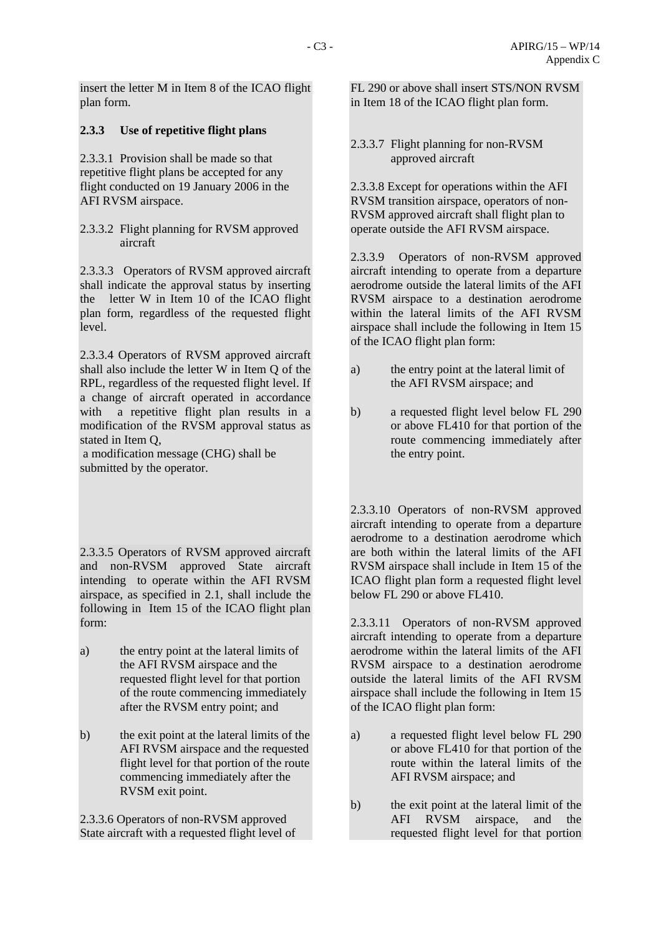insert the letter M in Item 8 of the ICAO flight plan form.

# **2.3.3 Use of repetitive flight plans**

2.3.3.1 Provision shall be made so that repetitive flight plans be accepted for any flight conducted on 19 January 2006 in the AFI RVSM airspace.

2.3.3.2 Flight planning for RVSM approved aircraft

2.3.3.3 Operators of RVSM approved aircraft shall indicate the approval status by inserting the letter W in Item 10 of the ICAO flight plan form, regardless of the requested flight level.

2.3.3.4 Operators of RVSM approved aircraft shall also include the letter W in Item Q of the RPL, regardless of the requested flight level. If a change of aircraft operated in accordance with a repetitive flight plan results in a modification of the RVSM approval status as stated in Item Q,

 a modification message (CHG) shall be submitted by the operator.

2.3.3.5 Operators of RVSM approved aircraft and non-RVSM approved State aircraft intending to operate within the AFI RVSM airspace, as specified in 2.1, shall include the following in Item 15 of the ICAO flight plan form:

- a) the entry point at the lateral limits of the AFI RVSM airspace and the requested flight level for that portion of the route commencing immediately after the RVSM entry point; and
- b) the exit point at the lateral limits of the AFI RVSM airspace and the requested flight level for that portion of the route commencing immediately after the RVSM exit point.

2.3.3.6 Operators of non-RVSM approved State aircraft with a requested flight level of FL 290 or above shall insert STS/NON RVSM in Item 18 of the ICAO flight plan form.

2.3.3.7 Flight planning for non-RVSM approved aircraft

2.3.3.8 Except for operations within the AFI RVSM transition airspace, operators of non-RVSM approved aircraft shall flight plan to operate outside the AFI RVSM airspace.

2.3.3.9 Operators of non-RVSM approved aircraft intending to operate from a departure aerodrome outside the lateral limits of the AFI RVSM airspace to a destination aerodrome within the lateral limits of the AFI RVSM airspace shall include the following in Item 15 of the ICAO flight plan form:

- a) the entry point at the lateral limit of the AFI RVSM airspace; and
- b) a requested flight level below FL 290 or above FL410 for that portion of the route commencing immediately after the entry point.

2.3.3.10 Operators of non-RVSM approved aircraft intending to operate from a departure aerodrome to a destination aerodrome which are both within the lateral limits of the AFI RVSM airspace shall include in Item 15 of the ICAO flight plan form a requested flight level below FL 290 or above FL410.

2.3.3.11 Operators of non-RVSM approved aircraft intending to operate from a departure aerodrome within the lateral limits of the AFI RVSM airspace to a destination aerodrome outside the lateral limits of the AFI RVSM airspace shall include the following in Item 15 of the ICAO flight plan form:

- a) a requested flight level below FL 290 or above FL410 for that portion of the route within the lateral limits of the AFI RVSM airspace; and
- b) the exit point at the lateral limit of the AFI RVSM airspace, and the requested flight level for that portion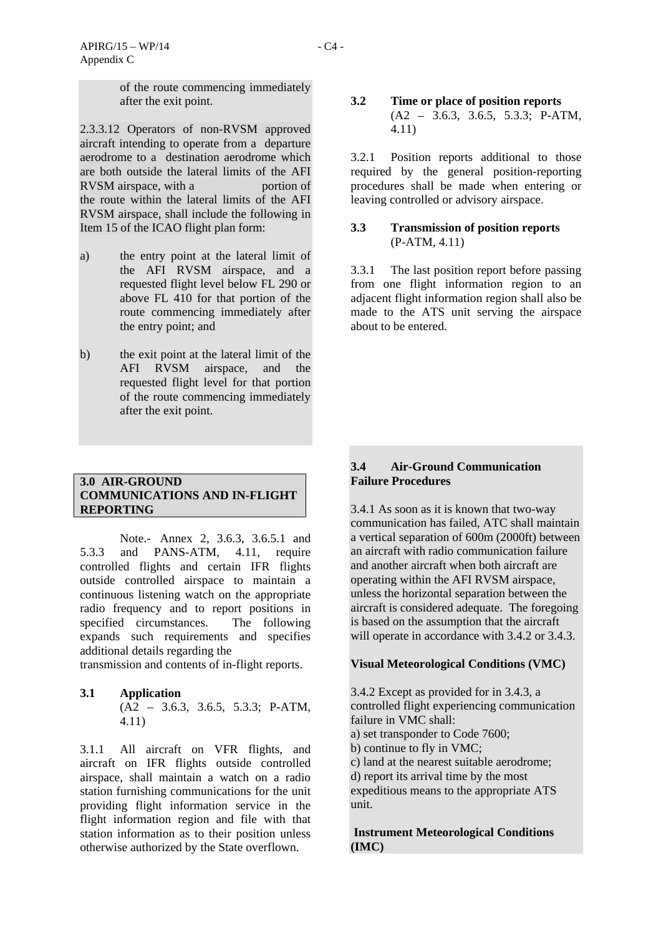of the route commencing immediately after the exit point.

2.3.3.12 Operators of non-RVSM approved aircraft intending to operate from a departure aerodrome to a destination aerodrome which are both outside the lateral limits of the AFI RVSM airspace, with a portion of the route within the lateral limits of the AFI RVSM airspace, shall include the following in Item 15 of the ICAO flight plan form:

- a) the entry point at the lateral limit of the AFI RVSM airspace, and a requested flight level below FL 290 or above FL 410 for that portion of the route commencing immediately after the entry point; and
- b) the exit point at the lateral limit of the AFI RVSM airspace, and the requested flight level for that portion of the route commencing immediately after the exit point.

# **3.0 AIR-GROUND COMMUNICATIONS AND IN-FLIGHT REPORTING**

 Note.- Annex 2, 3.6.3, 3.6.5.1 and 5.3.3 and PANS-ATM, 4.11, require controlled flights and certain IFR flights outside controlled airspace to maintain a continuous listening watch on the appropriate radio frequency and to report positions in specified circumstances. The following expands such requirements and specifies additional details regarding the

transmission and contents of in-flight reports.

## **3.1 Application**  (A2 – 3.6.3, 3.6.5, 5.3.3; P-ATM, 4.11)

3.1.1 All aircraft on VFR flights, and aircraft on IFR flights outside controlled airspace, shall maintain a watch on a radio station furnishing communications for the unit providing flight information service in the flight information region and file with that station information as to their position unless otherwise authorized by the State overflown.

#### **3.2 Time or place of position reports**  (A2 – 3.6.3, 3.6.5, 5.3.3; P-ATM, 4.11)

3.2.1 Position reports additional to those required by the general position-reporting procedures shall be made when entering or leaving controlled or advisory airspace.

# **3.3 Transmission of position reports**  (P-ATM, 4.11)

3.3.1 The last position report before passing from one flight information region to an adjacent flight information region shall also be made to the ATS unit serving the airspace about to be entered.

# **3.4 Air-Ground Communication Failure Procedures**

3.4.1 As soon as it is known that two-way communication has failed, ATC shall maintain a vertical separation of 600m (2000ft) between an aircraft with radio communication failure and another aircraft when both aircraft are operating within the AFI RVSM airspace, unless the horizontal separation between the aircraft is considered adequate. The foregoing is based on the assumption that the aircraft will operate in accordance with 3.4.2 or 3.4.3.

## **Visual Meteorological Conditions (VMC)**

3.4.2 Except as provided for in 3.4.3, a controlled flight experiencing communication failure in VMC shall:

a) set transponder to Code 7600;

b) continue to fly in VMC;

c) land at the nearest suitable aerodrome;

d) report its arrival time by the most

expeditious means to the appropriate ATS unit.

 **Instrument Meteorological Conditions (IMC)**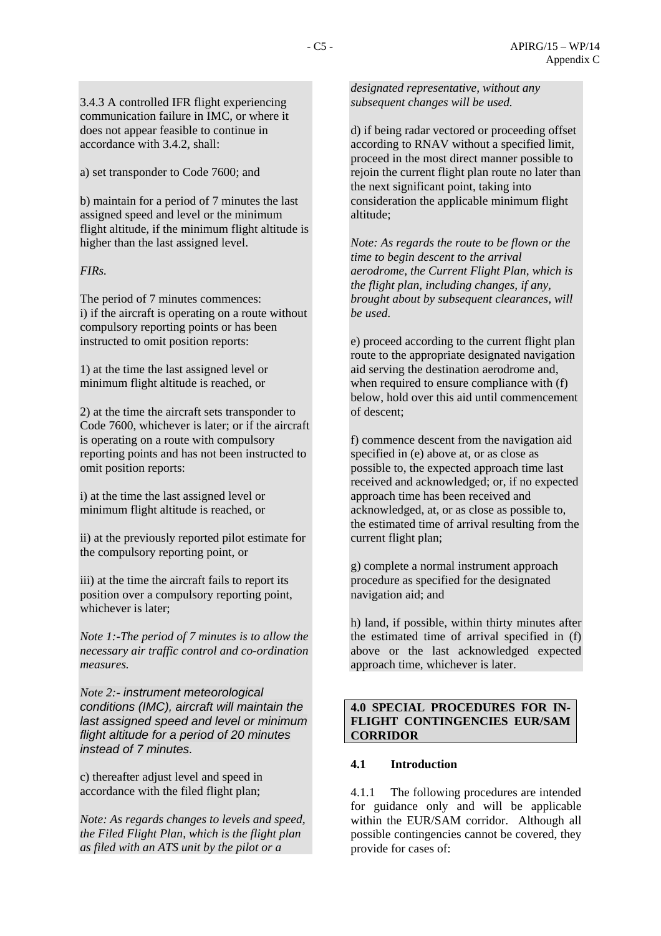3.4.3 A controlled IFR flight experiencing communication failure in IMC, or where it does not appear feasible to continue in accordance with 3.4.2, shall:

a) set transponder to Code 7600; and

b) maintain for a period of 7 minutes the last assigned speed and level or the minimum flight altitude, if the minimum flight altitude is higher than the last assigned level.

# *FIRs.*

The period of 7 minutes commences: i) if the aircraft is operating on a route without compulsory reporting points or has been instructed to omit position reports:

1) at the time the last assigned level or minimum flight altitude is reached, or

2) at the time the aircraft sets transponder to Code 7600, whichever is later; or if the aircraft is operating on a route with compulsory reporting points and has not been instructed to omit position reports:

i) at the time the last assigned level or minimum flight altitude is reached, or

ii) at the previously reported pilot estimate for the compulsory reporting point, or

iii) at the time the aircraft fails to report its position over a compulsory reporting point, whichever is later;

*Note 1:-The period of 7 minutes is to allow the necessary air traffic control and co-ordination measures.* 

*Note 2:- instrument meteorological conditions (IMC), aircraft will maintain the last assigned speed and level or minimum flight altitude for a period of 20 minutes instead of 7 minutes.* 

c) thereafter adjust level and speed in accordance with the filed flight plan;

*Note: As regards changes to levels and speed, the Filed Flight Plan, which is the flight plan as filed with an ATS unit by the pilot or a* 

*designated representative, without any subsequent changes will be used.* 

d) if being radar vectored or proceeding offset according to RNAV without a specified limit, proceed in the most direct manner possible to rejoin the current flight plan route no later than the next significant point, taking into consideration the applicable minimum flight altitude;

*Note: As regards the route to be flown or the time to begin descent to the arrival aerodrome, the Current Flight Plan, which is the flight plan, including changes, if any, brought about by subsequent clearances, will be used.* 

e) proceed according to the current flight plan route to the appropriate designated navigation aid serving the destination aerodrome and, when required to ensure compliance with  $(f)$ below, hold over this aid until commencement of descent;

f) commence descent from the navigation aid specified in (e) above at, or as close as possible to, the expected approach time last received and acknowledged; or, if no expected approach time has been received and acknowledged, at, or as close as possible to, the estimated time of arrival resulting from the current flight plan;

g) complete a normal instrument approach procedure as specified for the designated navigation aid; and

h) land, if possible, within thirty minutes after the estimated time of arrival specified in (f) above or the last acknowledged expected approach time, whichever is later.

## **4.0 SPECIAL PROCEDURES FOR IN-FLIGHT CONTINGENCIES EUR/SAM CORRIDOR**

## **4.1 Introduction**

4.1.1 The following procedures are intended for guidance only and will be applicable within the EUR/SAM corridor. Although all possible contingencies cannot be covered, they provide for cases of: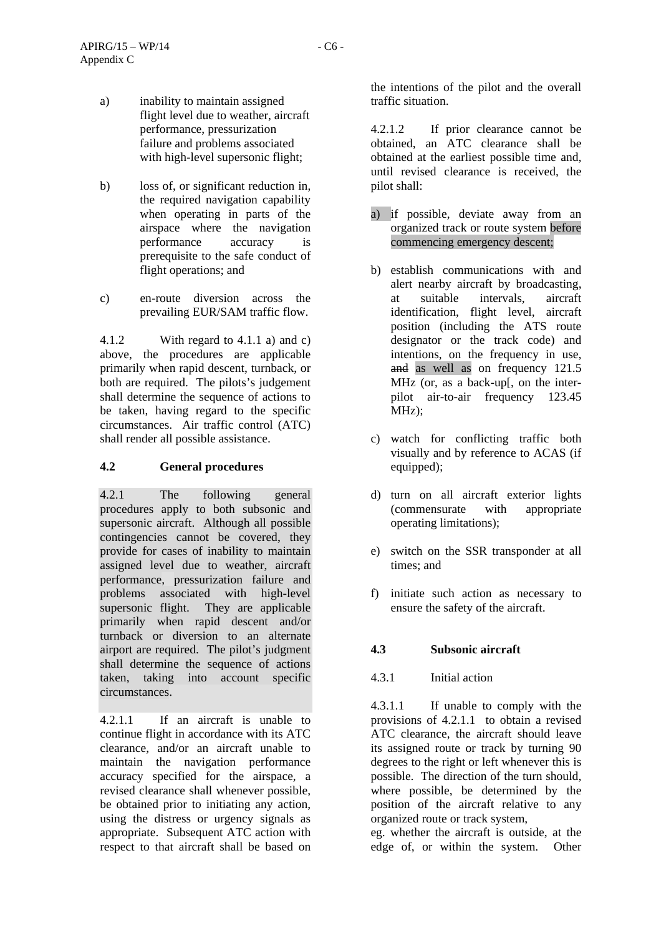- b) loss of, or significant reduction in, the required navigation capability when operating in parts of the airspace where the navigation performance accuracy is prerequisite to the safe conduct of flight operations; and
- c) en-route diversion across the prevailing EUR/SAM traffic flow.

4.1.2 With regard to 4.1.1 a) and c) above, the procedures are applicable primarily when rapid descent, turnback, or both are required. The pilots's judgement shall determine the sequence of actions to be taken, having regard to the specific circumstances. Air traffic control (ATC) shall render all possible assistance.

# **4.2 General procedures**

4.2.1 The following general procedures apply to both subsonic and supersonic aircraft. Although all possible contingencies cannot be covered, they provide for cases of inability to maintain assigned level due to weather, aircraft performance, pressurization failure and problems associated with high-level supersonic flight. They are applicable primarily when rapid descent and/or turnback or diversion to an alternate airport are required. The pilot's judgment shall determine the sequence of actions taken, taking into account specific circumstances.

4.2.1.1 If an aircraft is unable to continue flight in accordance with its ATC clearance, and/or an aircraft unable to maintain the navigation performance accuracy specified for the airspace, a revised clearance shall whenever possible, be obtained prior to initiating any action, using the distress or urgency signals as appropriate. Subsequent ATC action with respect to that aircraft shall be based on the intentions of the pilot and the overall traffic situation.

4.2.1.2 If prior clearance cannot be obtained, an ATC clearance shall be obtained at the earliest possible time and, until revised clearance is received, the pilot shall:

- a) if possible, deviate away from an organized track or route system before commencing emergency descent;
- b) establish communications with and alert nearby aircraft by broadcasting, at suitable intervals, aircraft identification, flight level, aircraft position (including the ATS route designator or the track code) and intentions, on the frequency in use, and as well as on frequency 121.5 MHz (or, as a back-up[, on the interpilot air-to-air frequency 123.45 MHz);
- c) watch for conflicting traffic both visually and by reference to ACAS (if equipped);
- d) turn on all aircraft exterior lights (commensurate with appropriate operating limitations);
- e) switch on the SSR transponder at all times; and
- f) initiate such action as necessary to ensure the safety of the aircraft.

# **4.3 Subsonic aircraft**

# 4.3.1 Initial action

4.3.1.1 If unable to comply with the provisions of 4.2.1.1 to obtain a revised ATC clearance, the aircraft should leave its assigned route or track by turning 90 degrees to the right or left whenever this is possible. The direction of the turn should, where possible, be determined by the position of the aircraft relative to any organized route or track system,

eg. whether the aircraft is outside, at the edge of, or within the system. Other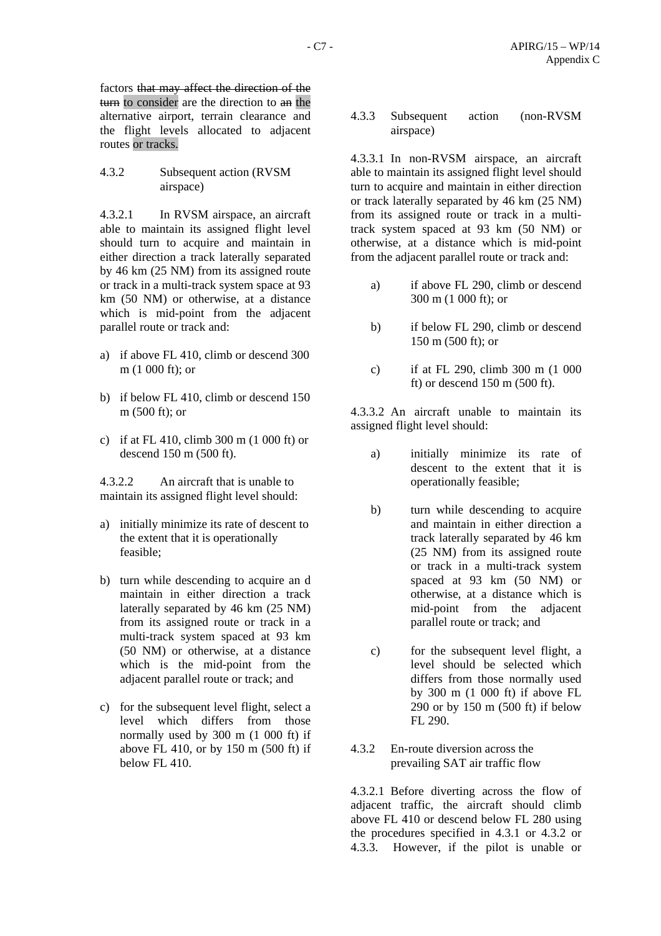factors that may affect the direction of the turn to consider are the direction to an the alternative airport, terrain clearance and the flight levels allocated to adjacent routes or tracks.

4.3.2 Subsequent action (RVSM airspace)

4.3.2.1 In RVSM airspace, an aircraft able to maintain its assigned flight level should turn to acquire and maintain in either direction a track laterally separated by 46 km (25 NM) from its assigned route or track in a multi-track system space at 93 km (50 NM) or otherwise, at a distance which is mid-point from the adjacent parallel route or track and:

- a) if above FL 410, climb or descend 300 m (1 000 ft); or
- b) if below FL 410, climb or descend 150 m (500 ft); or
- c) if at FL 410, climb 300 m (1 000 ft) or descend 150 m (500 ft).

4.3.2.2 An aircraft that is unable to maintain its assigned flight level should:

- a) initially minimize its rate of descent to the extent that it is operationally feasible;
- b) turn while descending to acquire an d maintain in either direction a track laterally separated by 46 km (25 NM) from its assigned route or track in a multi-track system spaced at 93 km (50 NM) or otherwise, at a distance which is the mid-point from the adjacent parallel route or track; and
- c) for the subsequent level flight, select a level which differs from those normally used by 300 m (1 000 ft) if above FL 410, or by 150 m (500 ft) if  $below FI.410.$

4.3.3 Subsequent action (non-RVSM airspace)

4.3.3.1 In non-RVSM airspace, an aircraft able to maintain its assigned flight level should turn to acquire and maintain in either direction or track laterally separated by 46 km (25 NM) from its assigned route or track in a multitrack system spaced at 93 km (50 NM) or otherwise, at a distance which is mid-point from the adjacent parallel route or track and:

- a) if above FL 290, climb or descend 300 m (1 000 ft); or
- b) if below FL 290, climb or descend 150 m (500 ft); or
- c) if at FL 290, climb 300 m (1 000 ft) or descend 150 m (500 ft).

4.3.3.2 An aircraft unable to maintain its assigned flight level should:

- a) initially minimize its rate of descent to the extent that it is operationally feasible;
- b) turn while descending to acquire and maintain in either direction a track laterally separated by 46 km (25 NM) from its assigned route or track in a multi-track system spaced at 93 km (50 NM) or otherwise, at a distance which is mid-point from the adjacent parallel route or track; and
- c) for the subsequent level flight, a level should be selected which differs from those normally used by 300 m (1 000 ft) if above FL 290 or by 150 m (500 ft) if below FL 290.
- 4.3.2 En-route diversion across the prevailing SAT air traffic flow

4.3.2.1 Before diverting across the flow of adjacent traffic, the aircraft should climb above FL 410 or descend below FL 280 using the procedures specified in 4.3.1 or 4.3.2 or 4.3.3. However, if the pilot is unable or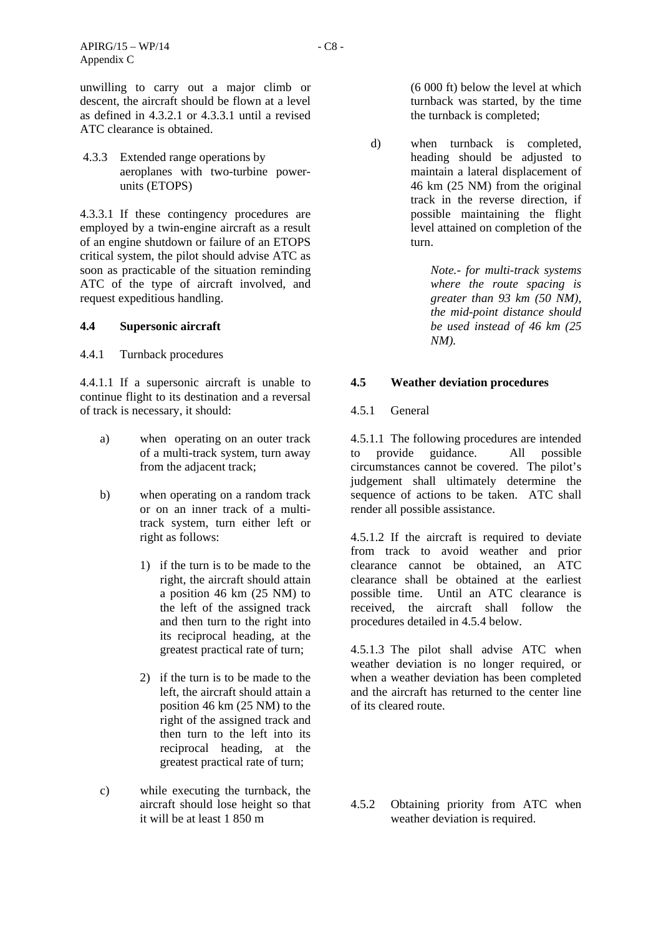unwilling to carry out a major climb or descent, the aircraft should be flown at a level as defined in 4.3.2.1 or 4.3.3.1 until a revised ATC clearance is obtained.

 4.3.3 Extended range operations by aeroplanes with two-turbine powerunits (ETOPS)

4.3.3.1 If these contingency procedures are employed by a twin-engine aircraft as a result of an engine shutdown or failure of an ETOPS critical system, the pilot should advise ATC as soon as practicable of the situation reminding ATC of the type of aircraft involved, and request expeditious handling.

#### **4.4 Supersonic aircraft**

4.4.1 Turnback procedures

4.4.1.1 If a supersonic aircraft is unable to continue flight to its destination and a reversal of track is necessary, it should:

- a) when operating on an outer track of a multi-track system, turn away from the adjacent track;
- b) when operating on a random track or on an inner track of a multitrack system, turn either left or right as follows:
	- 1) if the turn is to be made to the right, the aircraft should attain a position 46 km (25 NM) to the left of the assigned track and then turn to the right into its reciprocal heading, at the greatest practical rate of turn;
	- 2) if the turn is to be made to the left, the aircraft should attain a position 46 km (25 NM) to the right of the assigned track and then turn to the left into its reciprocal heading, at the greatest practical rate of turn;
- c) while executing the turnback, the aircraft should lose height so that it will be at least 1 850 m

(6 000 ft) below the level at which turnback was started, by the time the turnback is completed;

d) when turnback is completed, heading should be adjusted to maintain a lateral displacement of 46 km (25 NM) from the original track in the reverse direction, if possible maintaining the flight level attained on completion of the turn.

> *Note.- for multi-track systems where the route spacing is greater than 93 km (50 NM), the mid-point distance should be used instead of 46 km (25 NM).*

## **4.5 Weather deviation procedures**

#### 4.5.1 General

4.5.1.1 The following procedures are intended to provide guidance. All possible circumstances cannot be covered. The pilot's judgement shall ultimately determine the sequence of actions to be taken. ATC shall render all possible assistance.

4.5.1.2 If the aircraft is required to deviate from track to avoid weather and prior clearance cannot be obtained, an ATC clearance shall be obtained at the earliest possible time. Until an ATC clearance is received, the aircraft shall follow the procedures detailed in 4.5.4 below.

4.5.1.3 The pilot shall advise ATC when weather deviation is no longer required, or when a weather deviation has been completed and the aircraft has returned to the center line of its cleared route.

4.5.2 Obtaining priority from ATC when weather deviation is required.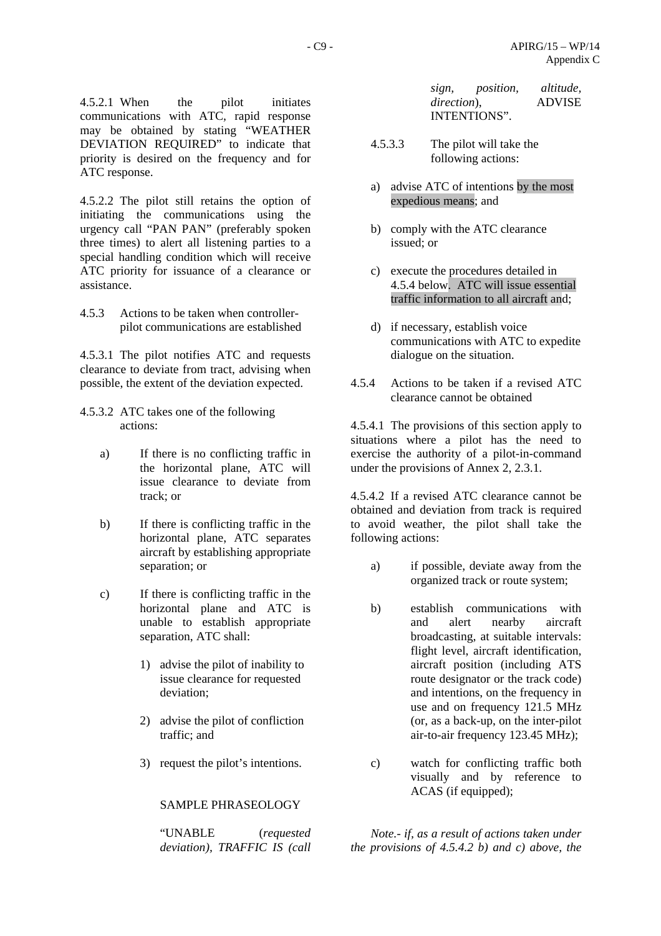4.5.2.1 When the pilot initiates communications with ATC, rapid response may be obtained by stating "WEATHER DEVIATION REQUIRED" to indicate that priority is desired on the frequency and for ATC response.

4.5.2.2 The pilot still retains the option of initiating the communications using the urgency call "PAN PAN" (preferably spoken three times) to alert all listening parties to a special handling condition which will receive ATC priority for issuance of a clearance or assistance.

4.5.3 Actions to be taken when controllerpilot communications are established

4.5.3.1 The pilot notifies ATC and requests clearance to deviate from tract, advising when possible, the extent of the deviation expected.

- 4.5.3.2 ATC takes one of the following actions:
	- a) If there is no conflicting traffic in the horizontal plane, ATC will issue clearance to deviate from track; or
	- b) If there is conflicting traffic in the horizontal plane, ATC separates aircraft by establishing appropriate separation; or
	- c) If there is conflicting traffic in the horizontal plane and ATC is unable to establish appropriate separation, ATC shall:
		- 1) advise the pilot of inability to issue clearance for requested deviation;
		- 2) advise the pilot of confliction traffic; and
		- 3) request the pilot's intentions.

## SAMPLE PHRASEOLOGY

"UNABLE (*requested deviation), TRAFFIC IS (call* 

| sign,               | <i>position,</i> | altitude,     |
|---------------------|------------------|---------------|
| <i>direction</i> ). |                  | <b>ADVISE</b> |
|                     | INTENTIONS".     |               |

- 4.5.3.3 The pilot will take the following actions:
- a) advise ATC of intentions by the most expedious means; and
- b) comply with the ATC clearance issued; or
- c) execute the procedures detailed in 4.5.4 below. ATC will issue essential traffic information to all aircraft and;
- d) if necessary, establish voice communications with ATC to expedite dialogue on the situation.
- 4.5.4 Actions to be taken if a revised ATC clearance cannot be obtained

4.5.4.1 The provisions of this section apply to situations where a pilot has the need to exercise the authority of a pilot-in-command under the provisions of Annex 2, 2.3.1.

4.5.4.2 If a revised ATC clearance cannot be obtained and deviation from track is required to avoid weather, the pilot shall take the following actions:

- a) if possible, deviate away from the organized track or route system;
- b) establish communications with and alert nearby aircraft broadcasting, at suitable intervals: flight level, aircraft identification, aircraft position (including ATS route designator or the track code) and intentions, on the frequency in use and on frequency 121.5 MHz (or, as a back-up, on the inter-pilot air-to-air frequency 123.45 MHz);
- c) watch for conflicting traffic both visually and by reference to ACAS (if equipped);

*Note.- if, as a result of actions taken under the provisions of 4.5.4.2 b) and c) above, the*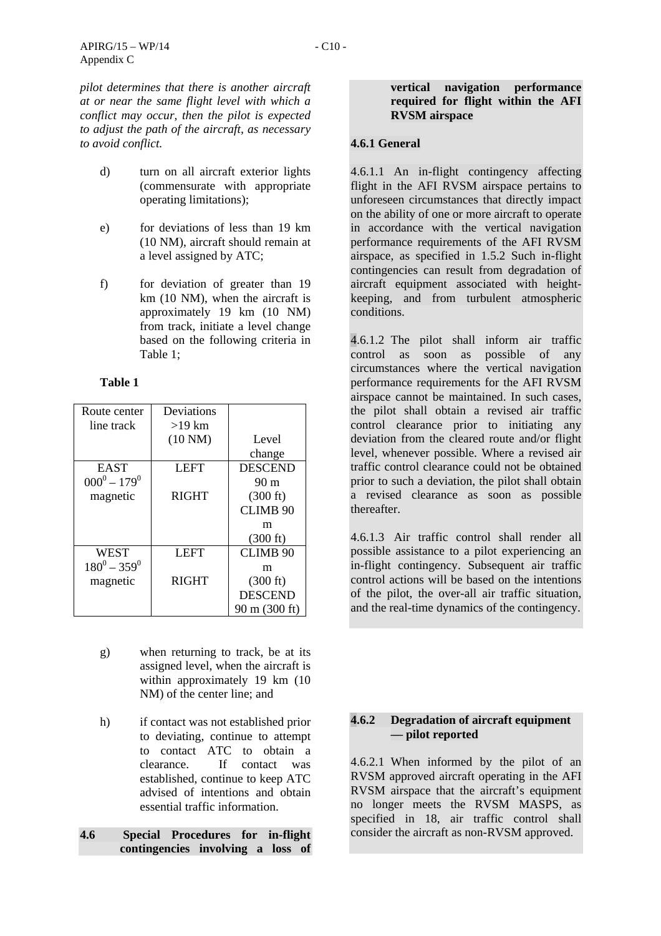*pilot determines that there is another aircraft at or near the same flight level with which a conflict may occur, then the pilot is expected to adjust the path of the aircraft, as necessary to avoid conflict.* 

- d) turn on all aircraft exterior lights (commensurate with appropriate operating limitations);
- e) for deviations of less than 19 km (10 NM), aircraft should remain at a level assigned by ATC;
- f) for deviation of greater than 19 km (10 NM), when the aircraft is approximately 19 km (10 NM) from track, initiate a level change based on the following criteria in Table 1;

# **Table 1**

| Route center    | Deviations        |                    |
|-----------------|-------------------|--------------------|
| line track      | $>19$ km          |                    |
|                 | $(10 \text{ NM})$ | Level              |
|                 |                   | change             |
| <b>EAST</b>     | <b>LEFT</b>       | <b>DESCEND</b>     |
| $000^0 - 179^0$ |                   | 90 <sub>m</sub>    |
| magnetic        | <b>RIGHT</b>      | $(300 \text{ ft})$ |
|                 |                   | <b>CLIMB 90</b>    |
|                 |                   | m                  |
|                 |                   | $(300 \text{ ft})$ |
| <b>WEST</b>     | <b>LEFT</b>       | <b>CLIMB 90</b>    |
| $180^0 - 359^0$ |                   | m                  |
| magnetic        | <b>RIGHT</b>      | $(300 \text{ ft})$ |
|                 |                   | <b>DESCEND</b>     |
|                 |                   | 90 m (300 ft)      |

- g) when returning to track, be at its assigned level, when the aircraft is within approximately 19 km (10 NM) of the center line; and
- h) if contact was not established prior to deviating, continue to attempt to contact ATC to obtain a clearance. If contact was established, continue to keep ATC advised of intentions and obtain essential traffic information.
- **4.6 Special Procedures for in-flight contingencies involving a loss of**

### **vertical navigation performance required for flight within the AFI RVSM airspace**

# **4.6.1 General**

4.6.1.1 An in-flight contingency affecting flight in the AFI RVSM airspace pertains to unforeseen circumstances that directly impact on the ability of one or more aircraft to operate in accordance with the vertical navigation performance requirements of the AFI RVSM airspace, as specified in 1.5.2 Such in-flight contingencies can result from degradation of aircraft equipment associated with heightkeeping, and from turbulent atmospheric conditions.

4.6.1.2 The pilot shall inform air traffic control as soon as possible of any circumstances where the vertical navigation performance requirements for the AFI RVSM airspace cannot be maintained. In such cases, the pilot shall obtain a revised air traffic control clearance prior to initiating any deviation from the cleared route and/or flight level, whenever possible. Where a revised air traffic control clearance could not be obtained prior to such a deviation, the pilot shall obtain a revised clearance as soon as possible thereafter.

4.6.1.3 Air traffic control shall render all possible assistance to a pilot experiencing an in-flight contingency. Subsequent air traffic control actions will be based on the intentions of the pilot, the over-all air traffic situation, and the real-time dynamics of the contingency.

# **4.6.2 Degradation of aircraft equipment — pilot reported**

4.6.2.1 When informed by the pilot of an RVSM approved aircraft operating in the AFI RVSM airspace that the aircraft's equipment no longer meets the RVSM MASPS, as specified in 18, air traffic control shall consider the aircraft as non-RVSM approved.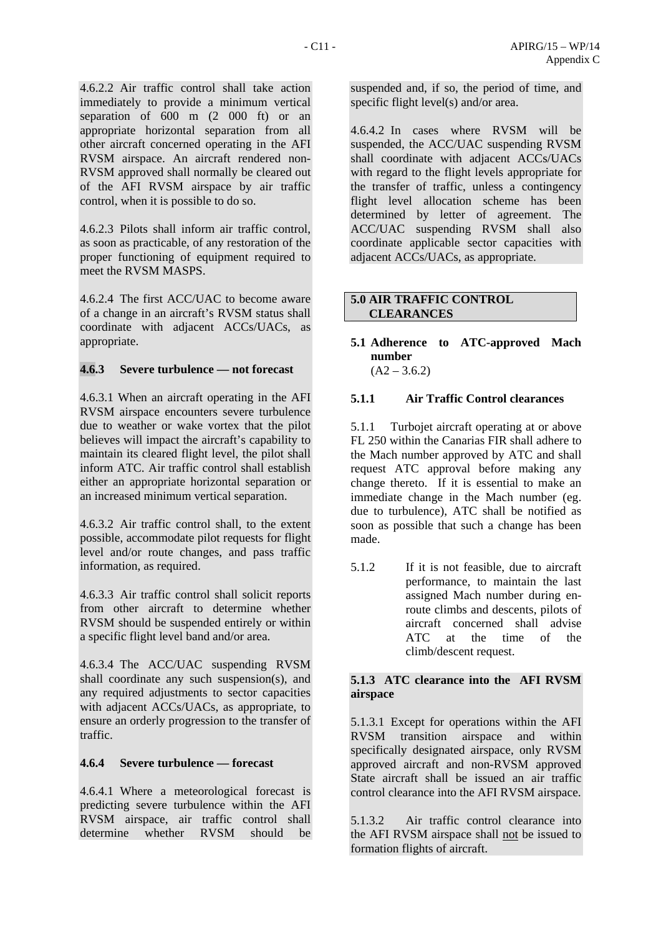4.6.2.2 Air traffic control shall take action immediately to provide a minimum vertical separation of 600 m (2 000 ft) or an appropriate horizontal separation from all other aircraft concerned operating in the AFI RVSM airspace. An aircraft rendered non-RVSM approved shall normally be cleared out of the AFI RVSM airspace by air traffic control, when it is possible to do so.

4.6.2.3 Pilots shall inform air traffic control, as soon as practicable, of any restoration of the proper functioning of equipment required to meet the RVSM MASPS.

4.6.2.4 The first ACC/UAC to become aware of a change in an aircraft's RVSM status shall coordinate with adjacent ACCs/UACs, as appropriate.

# **4.6.3 Severe turbulence — not forecast**

4.6.3.1 When an aircraft operating in the AFI RVSM airspace encounters severe turbulence due to weather or wake vortex that the pilot believes will impact the aircraft's capability to maintain its cleared flight level, the pilot shall inform ATC. Air traffic control shall establish either an appropriate horizontal separation or an increased minimum vertical separation.

4.6.3.2 Air traffic control shall, to the extent possible, accommodate pilot requests for flight level and/or route changes, and pass traffic information, as required.

4.6.3.3 Air traffic control shall solicit reports from other aircraft to determine whether RVSM should be suspended entirely or within a specific flight level band and/or area.

4.6.3.4 The ACC/UAC suspending RVSM shall coordinate any such suspension(s), and any required adjustments to sector capacities with adjacent ACCs/UACs, as appropriate, to ensure an orderly progression to the transfer of traffic.

## **4.6.4 Severe turbulence — forecast**

4.6.4.1 Where a meteorological forecast is predicting severe turbulence within the AFI RVSM airspace, air traffic control shall determine whether RVSM should be suspended and, if so, the period of time, and specific flight level(s) and/or area.

4.6.4.2 In cases where RVSM will be suspended, the ACC/UAC suspending RVSM shall coordinate with adjacent ACCs/UACs with regard to the flight levels appropriate for the transfer of traffic, unless a contingency flight level allocation scheme has been determined by letter of agreement. The ACC/UAC suspending RVSM shall also coordinate applicable sector capacities with adjacent ACCs/UACs, as appropriate.

# **5.0 AIR TRAFFIC CONTROL CLEARANCES**

#### **5.1 Adherence to ATC-approved Mach number**   $(A2 - 3.6.2)$

# **5.1.1 Air Traffic Control clearances**

5.1.1 Turbojet aircraft operating at or above FL 250 within the Canarias FIR shall adhere to the Mach number approved by ATC and shall request ATC approval before making any change thereto. If it is essential to make an immediate change in the Mach number (eg. due to turbulence), ATC shall be notified as soon as possible that such a change has been made.

5.1.2 If it is not feasible, due to aircraft performance, to maintain the last assigned Mach number during enroute climbs and descents, pilots of aircraft concerned shall advise ATC at the time of the climb/descent request.

# **5.1.3 ATC clearance into the AFI RVSM airspace**

5.1.3.1 Except for operations within the AFI RVSM transition airspace and within specifically designated airspace, only RVSM approved aircraft and non-RVSM approved State aircraft shall be issued an air traffic control clearance into the AFI RVSM airspace.

5.1.3.2 Air traffic control clearance into the AFI RVSM airspace shall not be issued to formation flights of aircraft.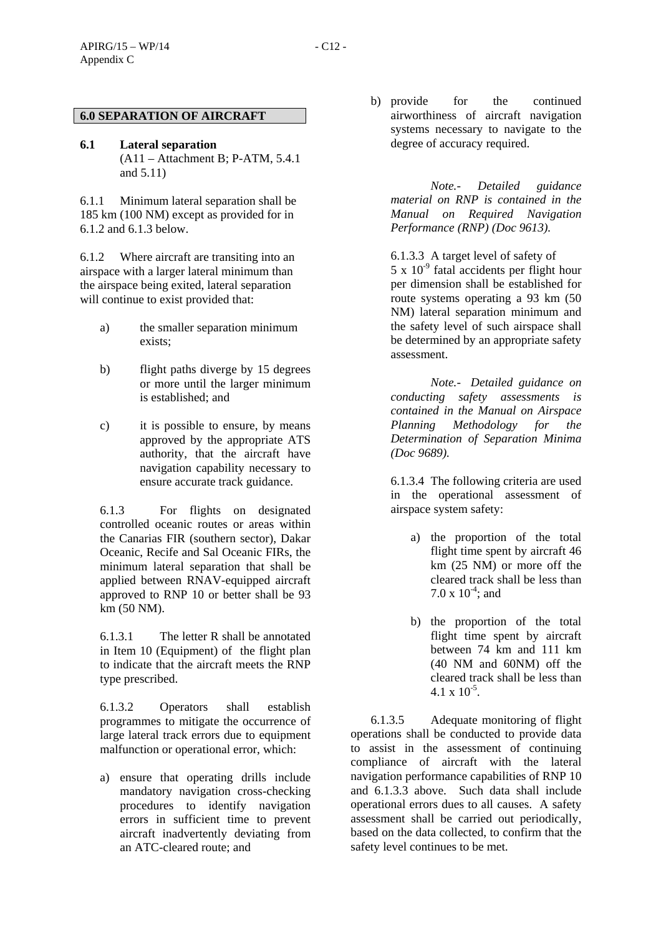**6.1 Lateral separation**  (A11 – Attachment B; P-ATM, 5.4.1 and 5.11)

6.1.1 Minimum lateral separation shall be 185 km (100 NM) except as provided for in 6.1.2 and 6.1.3 below.

6.1.2 Where aircraft are transiting into an airspace with a larger lateral minimum than the airspace being exited, lateral separation will continue to exist provided that:

- a) the smaller separation minimum exists;
- b) flight paths diverge by 15 degrees or more until the larger minimum is established; and
- c) it is possible to ensure, by means approved by the appropriate ATS authority, that the aircraft have navigation capability necessary to ensure accurate track guidance.

6.1.3 For flights on designated controlled oceanic routes or areas within the Canarias FIR (southern sector), Dakar Oceanic, Recife and Sal Oceanic FIRs, the minimum lateral separation that shall be applied between RNAV-equipped aircraft approved to RNP 10 or better shall be 93 km (50 NM).

6.1.3.1 The letter R shall be annotated in Item 10 (Equipment) of the flight plan to indicate that the aircraft meets the RNP type prescribed.

6.1.3.2 Operators shall establish programmes to mitigate the occurrence of large lateral track errors due to equipment malfunction or operational error, which:

a) ensure that operating drills include mandatory navigation cross-checking procedures to identify navigation errors in sufficient time to prevent aircraft inadvertently deviating from an ATC-cleared route; and

b) provide for the continued airworthiness of aircraft navigation systems necessary to navigate to the degree of accuracy required.

 *Note.- Detailed guidance material on RNP is contained in the Manual on Required Navigation Performance (RNP) (Doc 9613).* 

6.1.3.3 A target level of safety of  $5 \times 10^{-9}$  fatal accidents per flight hour per dimension shall be established for route systems operating a 93 km (50 NM) lateral separation minimum and the safety level of such airspace shall be determined by an appropriate safety assessment.

*Note.- Detailed guidance on conducting safety assessments is contained in the Manual on Airspace Planning Methodology for the Determination of Separation Minima (Doc 9689).*

6.1.3.4 The following criteria are used in the operational assessment of airspace system safety:

- a) the proportion of the total flight time spent by aircraft 46 km (25 NM) or more off the cleared track shall be less than 7.0 x  $10^{-4}$ ; and
- b) the proportion of the total flight time spent by aircraft between 74 km and 111 km (40 NM and 60NM) off the cleared track shall be less than  $4.1 \times 10^{-5}$ .

6.1.3.5 Adequate monitoring of flight operations shall be conducted to provide data to assist in the assessment of continuing compliance of aircraft with the lateral navigation performance capabilities of RNP 10 and 6.1.3.3 above. Such data shall include operational errors dues to all causes. A safety assessment shall be carried out periodically, based on the data collected, to confirm that the safety level continues to be met.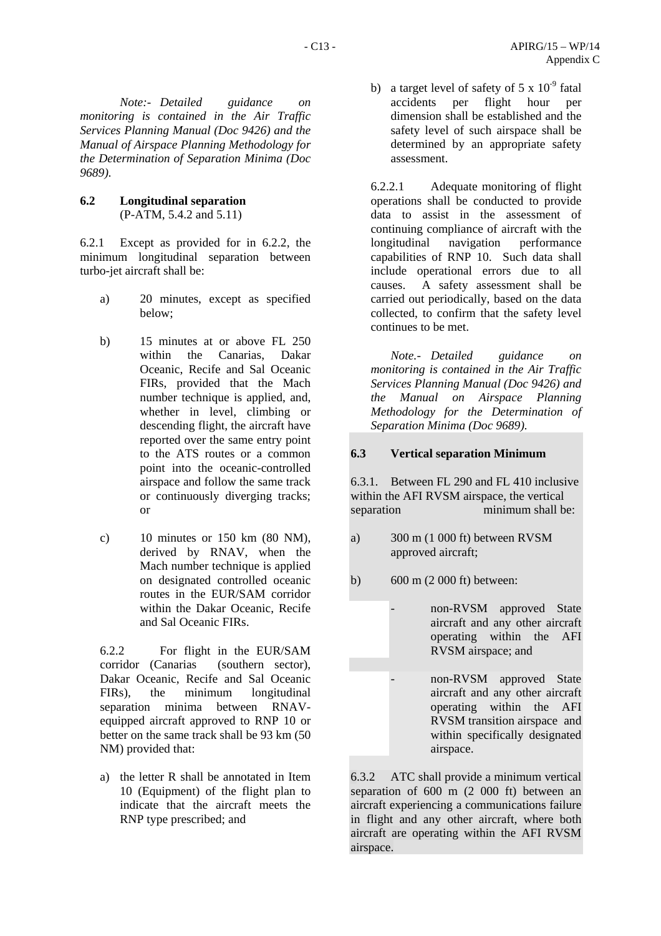*Note:- Detailed guidance on monitoring is contained in the Air Traffic Services Planning Manual (Doc 9426) and the Manual of Airspace Planning Methodology for the Determination of Separation Minima (Doc 9689).* 

## **6.2 Longitudinal separation**  (P-ATM, 5.4.2 and 5.11)

6.2.1 Except as provided for in 6.2.2, the minimum longitudinal separation between turbo-jet aircraft shall be:

- a) 20 minutes, except as specified below;
- b) 15 minutes at or above FL 250 within the Canarias, Dakar Oceanic, Recife and Sal Oceanic FIRs, provided that the Mach number technique is applied, and, whether in level, climbing or descending flight, the aircraft have reported over the same entry point to the ATS routes or a common point into the oceanic-controlled airspace and follow the same track or continuously diverging tracks; or
- c) 10 minutes or 150 km (80 NM), derived by RNAV, when the Mach number technique is applied on designated controlled oceanic routes in the EUR/SAM corridor within the Dakar Oceanic, Recife and Sal Oceanic FIRs.

6.2.2 For flight in the EUR/SAM corridor (Canarias (southern sector), Dakar Oceanic, Recife and Sal Oceanic FIRs), the minimum longitudinal separation minima between RNAVequipped aircraft approved to RNP 10 or better on the same track shall be 93 km (50 NM) provided that:

a) the letter R shall be annotated in Item 10 (Equipment) of the flight plan to indicate that the aircraft meets the RNP type prescribed; and

b) a target level of safety of  $5 \times 10^{-9}$  fatal accidents per flight hour per dimension shall be established and the safety level of such airspace shall be determined by an appropriate safety assessment.

6.2.2.1 Adequate monitoring of flight operations shall be conducted to provide data to assist in the assessment of continuing compliance of aircraft with the longitudinal navigation performance capabilities of RNP 10. Such data shall include operational errors due to all causes. A safety assessment shall be carried out periodically, based on the data collected, to confirm that the safety level continues to be met.

*Note.- Detailed guidance on monitoring is contained in the Air Traffic Services Planning Manual (Doc 9426) and the Manual on Airspace Planning Methodology for the Determination of Separation Minima (Doc 9689).* 

# **6.3 Vertical separation Minimum**

6.3.1. Between FL 290 and FL 410 inclusive within the AFI RVSM airspace, the vertical separation minimum shall be:

- a) 300 m (1 000 ft) between RVSM approved aircraft;
- b) 600 m (2 000 ft) between:

non-RVSM approved State aircraft and any other aircraft operating within the AFI RVSM airspace; and

non-RVSM approved State aircraft and any other aircraft operating within the AFI RVSM transition airspace and within specifically designated airspace.

6.3.2 ATC shall provide a minimum vertical separation of 600 m (2 000 ft) between an aircraft experiencing a communications failure in flight and any other aircraft, where both aircraft are operating within the AFI RVSM airspace.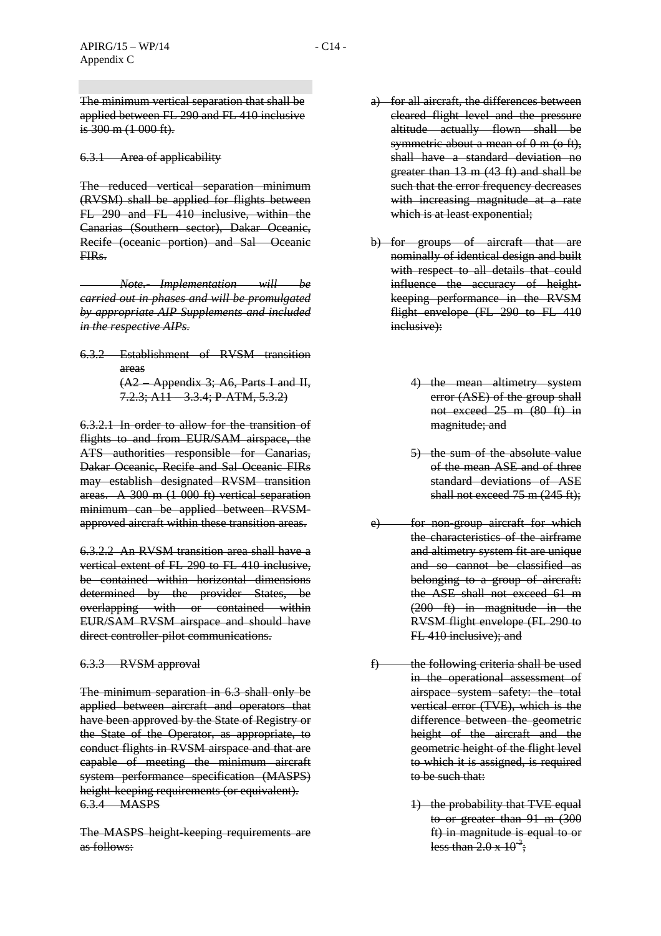The minimum vertical separation that shall be applied between FL 290 and FL 410 inclusive is  $300 \text{ m}$  (1 000 ft).

### 6.3.1 Area of applicability

The reduced vertical separation minimum (RVSM) shall be applied for flights between FL 290 and FL 410 inclusive, within the Canarias (Southern sector), Dakar Oceanic, Recife (oceanic portion) and Sal Oceanic FIRs.

*Note.- Implementation will be carried out in phases and will be promulgated by appropriate AIP Supplements and included in the respective AIPs.*

6.3.2 Establishment of RVSM transition areas (A2 – Appendix 3; A6, Parts I and II, 7.2.3; A11 – 3.3.4; P-ATM, 5.3.2)

6.3.2.1 In order to allow for the transition of flights to and from EUR/SAM airspace, the ATS authorities responsible for Canarias, Dakar Oceanic, Recife and Sal Oceanic FIRs may establish designated RVSM transition areas. A 300 m (1 000 ft) vertical separation minimum can be applied between RVSMapproved aircraft within these transition areas.

6.3.2.2 An RVSM transition area shall have a vertical extent of FL 290 to FL 410 inclusive, be contained within horizontal dimensions determined by the provider States, be overlapping with or contained within EUR/SAM RVSM airspace and should have direct controller-pilot communications.

## 6.3.3 RVSM approval

The minimum separation in 6.3 shall only be applied between aircraft and operators that have been approved by the State of Registry or the State of the Operator, as appropriate, to conduct flights in RVSM airspace and that are capable of meeting the minimum aircraft system performance specification (MASPS) height-keeping requirements (or equivalent). 6.3.4 MASPS

The MASPS height-keeping requirements are as follows:

- a) for all aircraft, the differences between cleared flight level and the pressure altitude actually flown shall be symmetric about a mean of 0 m (o ft), shall have a standard deviation no greater than 13 m (43 ft) and shall be such that the error frequency decreases with increasing magnitude at a rate which is at least exponential;
- b) for groups of aircraft that are nominally of identical design and built with respect to all details that could influence the accuracy of heightkeeping performance in the RVSM flight envelope (FL 290 to FL 410 inclusive):
	- 4) the mean altimetry system error (ASE) of the group shall not exceed 25 m (80 ft) in magnitude; and
	- 5) the sum of the absolute value of the mean ASE and of three standard deviations of ASE shall not exceed 75 m (245 ft);
- e) for non-group aircraft for which the characteristics of the airframe and altimetry system fit are unique and so cannot be classified as belonging to a group of aircraft: the ASE shall not exceed 61 m (200 ft) in magnitude in the RVSM flight envelope (FL 290 to FL 410 inclusive); and
- $f$  the following criteria shall be used in the operational assessment of airspace system safety: the total vertical error (TVE), which is the difference between the geometric height of the aircraft and the geometric height of the flight level to which it is assigned, is required to be such that:
	- 1) the probability that TVE equal to or greater than 91 m (300 ft) in magnitude is equal to or less than  $2.0 \times 10^{-3}$ ;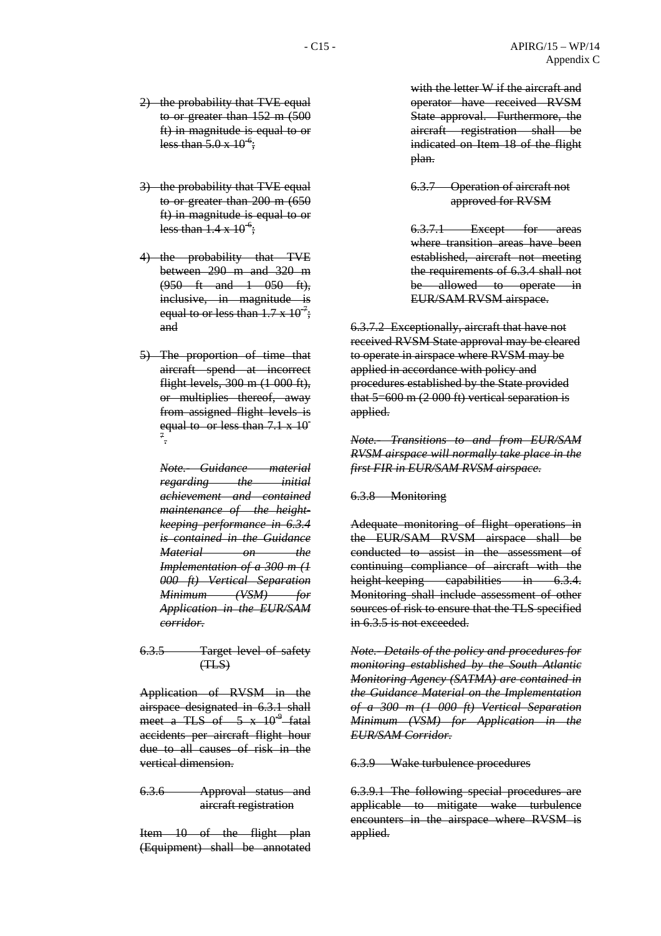- 2) the probability that TVE equal to or greater than 152 m (500 ft) in magnitude is equal to or less than  $5.0 \times 10^{-6}$ ;
- 3) the probability that TVE equal to or greater than 200 m (650 ft) in magnitude is equal to or less than  $1.4 \times 10^{-6}$ ;
- 4) the probability that TVE between 290 m and 320 m (950 ft and 1 050 ft), inclusive, in magnitude is equal to or less than  $1.7 \times 10^{-7}$ ; and
- 5) The proportion of time that aircraft spend at incorrect flight levels, 300 m (1 000 ft), or multiplies thereof, away from assigned flight levels is equal to or less than  $7.1 \times 10^{-7}$ 7 .

*Note.- Guidance material regarding* the *initial achievement and contained maintenance of the heightkeeping performance in 6.3.4 is contained in the Guidance Material* on the *Implementation of a 300 m (1 000 ft) Vertical Separation Minimum (VSM) for Application in the EUR/SAM corridor.*

6.3.5 Target level of safety  $(THS)$ 

Application of RVSM in the airspace designated in 6.3.1 shall meet a TLS of  $\frac{5 \times 10^{9} \text{-fatal}}{9}$ accidents per aircraft flight hour due to all causes of risk in the vertical dimension.

6.3.6 Approval status and aircraft registration

Item 10 of the flight plan (Equipment) shall be annotated

with the letter W if the aircraft and operator have received RVSM State approval. Furthermore, the aircraft registration shall be indicated on Item 18 of the flight plan.

#### 6.3.7 Operation of aircraft not approved for RVSM

6.3.7.1 Except for areas where transition areas have been established, aircraft not meeting the requirements of 6.3.4 shall not be allowed to operate in EUR/SAM RVSM airspace.

6.3.7.2 Exceptionally, aircraft that have not received RVSM State approval may be cleared to operate in airspace where RVSM may be applied in accordance with policy and procedures established by the State provided that 5=600 m (2 000 ft) vertical separation is applied.

*Note.- Transitions to and from EUR/SAM RVSM airspace will normally take place in the first FIR in EUR/SAM RVSM airspace.*

#### 6.3.8 Monitoring

Adequate monitoring of flight operations in the EUR/SAM RVSM airspace shall be conducted to assist in the assessment of continuing compliance of aircraft with the height-keeping capabilities in 6.3.4. Monitoring shall include assessment of other sources of risk to ensure that the TLS specified in 6.3.5 is not exceeded.

*Note.- Details of the policy and procedures for monitoring established by the South Atlantic Monitoring Agency (SATMA) are contained in the Guidance Material on the Implementation of a 300 m (1 000 ft) Vertical Separation Minimum (VSM) for Application in the EUR/SAM Corridor.*

# 6.3.9 Wake turbulence procedures

6.3.9.1 The following special procedures are applicable to mitigate wake turbulence encounters in the airspace where RVSM is applied.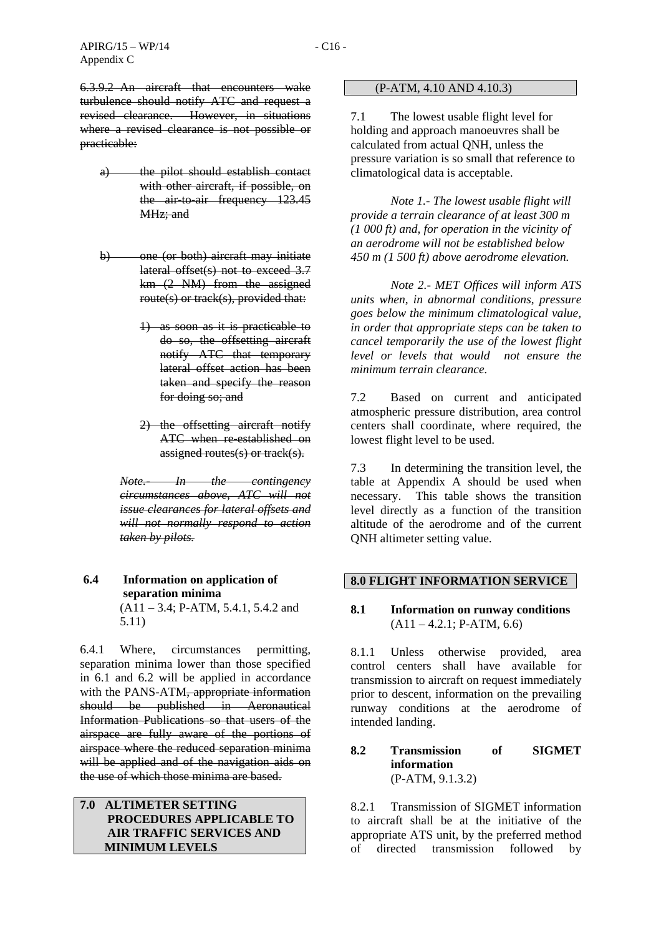6.3.9.2 An aircraft that encounters wake turbulence should notify ATC and request a revised clearance. However, in situations where a revised clearance is not possible or practicable:

- a) the pilot should establish contact with other aircraft, if possible, on the air-to-air frequency 123.45 MHz; and
- b) one (or both) aircraft may initiate lateral offset(s) not to exceed 3.7 km (2 NM) from the assigned route(s) or track(s), provided that:
	- 1) as soon as it is practicable to do so, the offsetting aircraft notify ATC that temporary lateral offset action has been taken and specify the reason for doing so; and
	- 2) the offsetting aircraft notify ATC when re-established on assigned routes(s) or track(s).

*Note.- In the contingency circumstances above, ATC will not issue clearances for lateral offsets and will not normally respond to action taken by pilots.*

#### **6.4 Information on application of separation minima**  (A11 – 3.4; P-ATM, 5.4.1, 5.4.2 and

5.11)

6.4.1 Where, circumstances permitting, separation minima lower than those specified in 6.1 and 6.2 will be applied in accordance with the PANS-ATM<del>, appropriate information</del> should be published in Aeronautical Information Publications so that users of the airspace are fully aware of the portions of airspace where the reduced separation minima will be applied and of the navigation aids on the use of which those minima are based.

## **7.0 ALTIMETER SETTING PROCEDURES APPLICABLE TO AIR TRAFFIC SERVICES AND MINIMUM LEVELS**

#### (P-ATM, 4.10 AND 4.10.3)

7.1 The lowest usable flight level for holding and approach manoeuvres shall be calculated from actual QNH, unless the pressure variation is so small that reference to climatological data is acceptable.

*Note 1.- The lowest usable flight will provide a terrain clearance of at least 300 m (1 000 ft) and, for operation in the vicinity of an aerodrome will not be established below 450 m (1 500 ft) above aerodrome elevation.* 

 *Note 2.- MET Offices will inform ATS units when, in abnormal conditions, pressure goes below the minimum climatological value, in order that appropriate steps can be taken to cancel temporarily the use of the lowest flight level or levels that would not ensure the minimum terrain clearance.* 

7.2 Based on current and anticipated atmospheric pressure distribution, area control centers shall coordinate, where required, the lowest flight level to be used.

7.3 In determining the transition level, the table at Appendix A should be used when necessary. This table shows the transition level directly as a function of the transition altitude of the aerodrome and of the current QNH altimeter setting value.

## **8.0 FLIGHT INFORMATION SERVICE**

# **8.1 Information on runway conditions**   $(A11 - 4.2.1; P-ATM, 6.6)$

8.1.1 Unless otherwise provided, area control centers shall have available for transmission to aircraft on request immediately prior to descent, information on the prevailing runway conditions at the aerodrome of intended landing.

#### **8.2 Transmission of SIGMET information**  (P-ATM, 9.1.3.2)

8.2.1 Transmission of SIGMET information to aircraft shall be at the initiative of the appropriate ATS unit, by the preferred method of directed transmission followed by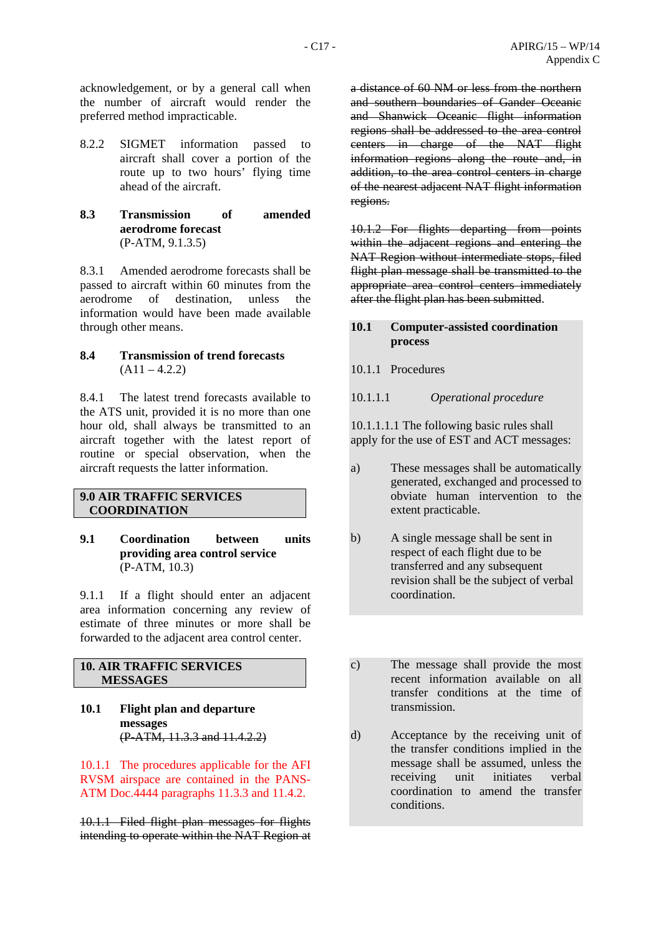acknowledgement, or by a general call when the number of aircraft would render the preferred method impracticable.

- 8.2.2 SIGMET information passed to aircraft shall cover a portion of the route up to two hours' flying time ahead of the aircraft.
- **8.3 Transmission of amended aerodrome forecast**  (P-ATM, 9.1.3.5)

8.3.1 Amended aerodrome forecasts shall be passed to aircraft within 60 minutes from the aerodrome of destination, unless the information would have been made available through other means.

### **8.4 Transmission of trend forecasts**   $(A11 - 4.2.2)$

8.4.1 The latest trend forecasts available to the ATS unit, provided it is no more than one hour old, shall always be transmitted to an aircraft together with the latest report of routine or special observation, when the aircraft requests the latter information.

#### **9.0 AIR TRAFFIC SERVICES COORDINATION**

**9.1 Coordination between units providing area control service**  (P-ATM, 10.3)

9.1.1 If a flight should enter an adjacent area information concerning any review of estimate of three minutes or more shall be forwarded to the adjacent area control center.

## **10. AIR TRAFFIC SERVICES MESSAGES**

**10.1 Flight plan and departure messages** (P-ATM, 11.3.3 and 11.4.2.2)

10.1.1 The procedures applicable for the AFI RVSM airspace are contained in the PANS-ATM Doc.4444 paragraphs 11.3.3 and 11.4.2.

10.1.1 Filed flight plan messages for flights intending to operate within the NAT Region at a distance of 60 NM or less from the northern and southern boundaries of Gander Oceanic and Shanwick Oceanic flight information regions shall be addressed to the area control centers in charge of the NAT flight information regions along the route and, in addition, to the area control centers in charge of the nearest adjacent NAT flight information regions.

10.1.2 For flights departing from points within the adjacent regions and entering the NAT Region without intermediate stops, filed flight plan message shall be transmitted to the appropriate area control centers immediately after the flight plan has been submitted.

#### **10.1 Computer-assisted coordination process**

10.1.1 Procedures

10.1.1.1 *Operational procedure* 

10.1.1.1.1 The following basic rules shall apply for the use of EST and ACT messages:

- a) These messages shall be automatically generated, exchanged and processed to obviate human intervention to the extent practicable.
- b) A single message shall be sent in respect of each flight due to be transferred and any subsequent revision shall be the subject of verbal coordination.
- c) The message shall provide the most recent information available on all transfer conditions at the time of transmission.
- d) Acceptance by the receiving unit of the transfer conditions implied in the message shall be assumed, unless the receiving unit initiates verbal coordination to amend the transfer conditions.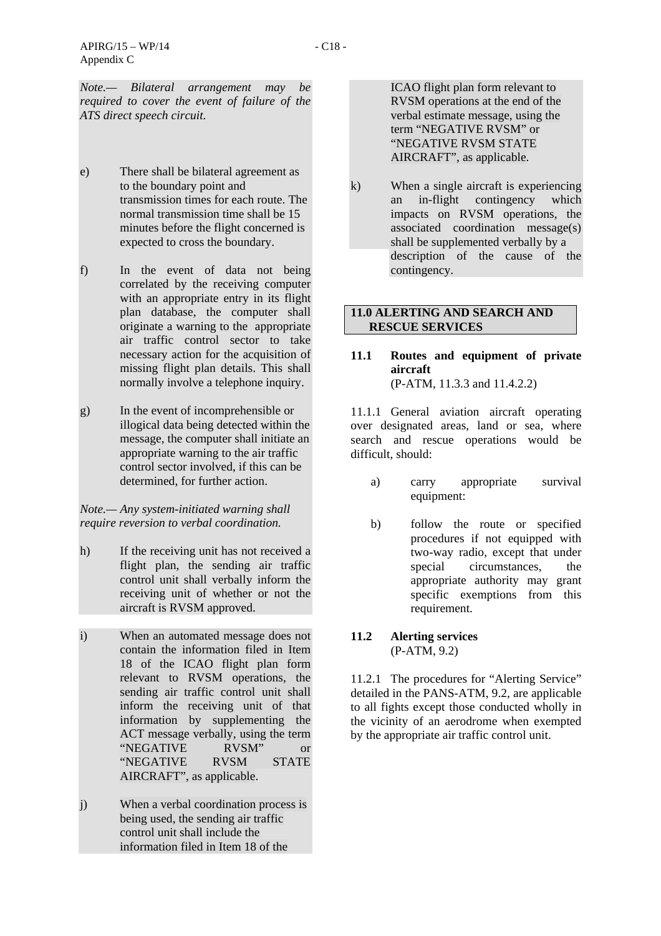*Note.— Bilateral arrangement may be required to cover the event of failure of the ATS direct speech circuit.* 

- e) There shall be bilateral agreement as to the boundary point and transmission times for each route. The normal transmission time shall be 15 minutes before the flight concerned is expected to cross the boundary.
- f) In the event of data not being correlated by the receiving computer with an appropriate entry in its flight plan database, the computer shall originate a warning to the appropriate air traffic control sector to take necessary action for the acquisition of missing flight plan details. This shall normally involve a telephone inquiry.
- g) In the event of incomprehensible or illogical data being detected within the message, the computer shall initiate an appropriate warning to the air traffic control sector involved, if this can be determined, for further action.

*Note.— Any system-initiated warning shall require reversion to verbal coordination.* 

- h) If the receiving unit has not received a flight plan, the sending air traffic control unit shall verbally inform the receiving unit of whether or not the aircraft is RVSM approved.
- i) When an automated message does not contain the information filed in Item 18 of the ICAO flight plan form relevant to RVSM operations, the sending air traffic control unit shall inform the receiving unit of that information by supplementing the ACT message verbally, using the term<br>
"NEGATIVE RVSM" or "NEGATIVE RVSM" or "NEGATIVE RVSM STATE AIRCRAFT", as applicable.
- j) When a verbal coordination process is being used, the sending air traffic control unit shall include the information filed in Item 18 of the

ICAO flight plan form relevant to RVSM operations at the end of the verbal estimate message, using the term "NEGATIVE RVSM" or "NEGATIVE RVSM STATE AIRCRAFT", as applicable.

k) When a single aircraft is experiencing an in-flight contingency which impacts on RVSM operations, the associated coordination message(s) shall be supplemented verbally by a description of the cause of the contingency.

## **11.0 ALERTING AND SEARCH AND RESCUE SERVICES**

#### **11.1 Routes and equipment of private aircraft**  (P-ATM, 11.3.3 and 11.4.2.2)

11.1.1 General aviation aircraft operating over designated areas, land or sea, where search and rescue operations would be difficult, should:

- a) carry appropriate survival equipment:
- b) follow the route or specified procedures if not equipped with two-way radio, except that under special circumstances, the appropriate authority may grant specific exemptions from this requirement.

## **11.2 Alerting services**  (P-ATM, 9.2)

11.2.1 The procedures for "Alerting Service" detailed in the PANS-ATM, 9.2, are applicable to all fights except those conducted wholly in the vicinity of an aerodrome when exempted by the appropriate air traffic control unit.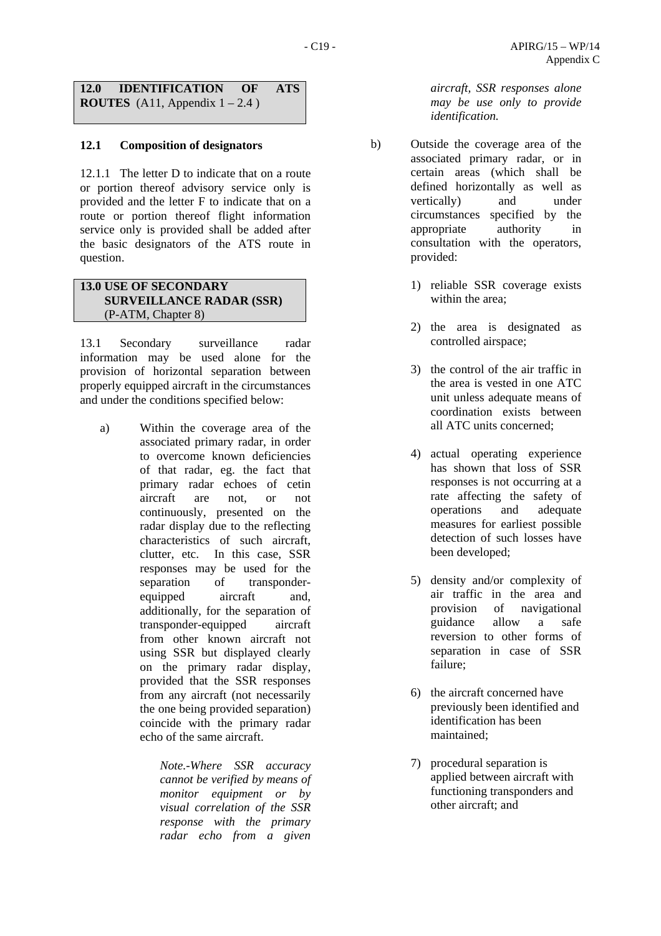**12.0 IDENTIFICATION OF ATS ROUTES** (A11, Appendix 1 – 2.4 )

# **12.1 Composition of designators**

12.1.1 The letter D to indicate that on a route or portion thereof advisory service only is provided and the letter F to indicate that on a route or portion thereof flight information service only is provided shall be added after the basic designators of the ATS route in question.

# **13.0 USE OF SECONDARY SURVEILLANCE RADAR (SSR)** (P-ATM, Chapter 8)

13.1 Secondary surveillance radar information may be used alone for the provision of horizontal separation between properly equipped aircraft in the circumstances and under the conditions specified below:

a) Within the coverage area of the associated primary radar, in order to overcome known deficiencies of that radar, eg. the fact that primary radar echoes of cetin aircraft are not, or not continuously, presented on the radar display due to the reflecting characteristics of such aircraft, clutter, etc. In this case, SSR responses may be used for the separation of transponderequipped aircraft and, additionally, for the separation of transponder-equipped aircraft from other known aircraft not using SSR but displayed clearly on the primary radar display, provided that the SSR responses from any aircraft (not necessarily the one being provided separation) coincide with the primary radar echo of the same aircraft.

> *Note.-Where SSR accuracy cannot be verified by means of monitor equipment or by visual correlation of the SSR response with the primary radar echo from a given*

*aircraft, SSR responses alone may be use only to provide identification.* 

- b) Outside the coverage area of the associated primary radar, or in certain areas (which shall be defined horizontally as well as vertically) and under circumstances specified by the appropriate authority in consultation with the operators, provided:
	- 1) reliable SSR coverage exists within the area;
	- 2) the area is designated as controlled airspace;
	- 3) the control of the air traffic in the area is vested in one ATC unit unless adequate means of coordination exists between all ATC units concerned;
	- 4) actual operating experience has shown that loss of SSR responses is not occurring at a rate affecting the safety of operations and adequate measures for earliest possible detection of such losses have been developed;
	- 5) density and/or complexity of air traffic in the area and provision of navigational guidance allow a safe reversion to other forms of separation in case of SSR failure;
	- 6) the aircraft concerned have previously been identified and identification has been maintained;
	- 7) procedural separation is applied between aircraft with functioning transponders and other aircraft; and